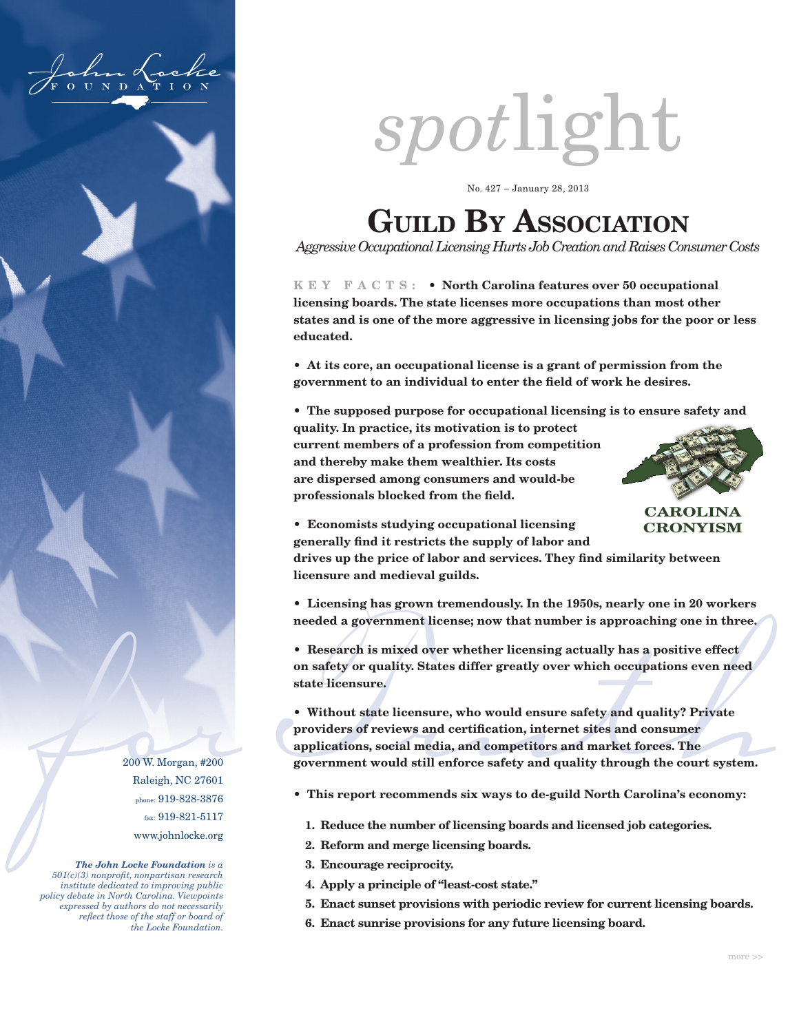

# *spot*light

No. 427 – January 28, 2013

# **GUILD BY ASSOCIATION**

*Aggressive Occupational Licensing Hurts Job Creation and Raises Consumer Costs*

**K E Y F A C T S : • North Carolina features over 50 occupational licensing boards. The state licenses more occupations than most other states and is one of the more aggressive in licensing jobs for the poor or less educated.**

**• At its core, an occupational license is a grant of permission from the government to an individual to enter the field of work he desires.**

**• The supposed purpose for occupational licensing is to ensure safety and** 

**quality. In practice, its motivation is to protect current members of a profession from competition and thereby make them wealthier. Its costs are dispersed among consumers and would-be professionals blocked from the field.**



**CAROLINA CRONYISM**

**• Economists studying occupational licensing generally find it restricts the supply of labor and** 

**drives up the price of labor and services. They find similarity between licensure and medieval guilds.**

**• Licensing has grown tremendously. In the 1950s, nearly one in 20 workers needed a government license; now that number is approaching one in three.**

**• Research is mixed over whether licensing actually has a positive effect on safety or quality. States differ greatly over which occupations even need state licensure.**

• Research is mixed over whether heensing actually has a positive eneror on safety or quality. States differ greatly over which occupations even need state licensure.<br>
• Without state licensure, who would ensure safety and **• Without state licensure, who would ensure safety and quality? Private providers of reviews and certification, internet sites and consumer applications, social media, and competitors and market forces. The government would still enforce safety and quality through the court system.**

- **This report recommends six ways to de-guild North Carolina's economy:**
	- **1. Reduce the number of licensing boards and licensed job categories.**
	- **2. Reform and merge licensing boards.**
	- **3. Encourage reciprocity.**
	- **4. Apply a principle of "least-cost state."**
	- **5. Enact sunset provisions with periodic review for current licensing boards.**
	- **6. Enact sunrise provisions for any future licensing board.**

200 W. Morgan, #200 Raleigh, NC 27601 phone: 919-828-3876 fax: 919-821-5117 www.johnlocke.org

*The John Locke Foundation is a 501(c)(3) nonprofit, nonpartisan research institute dedicated to improving public policy debate in North Carolina. Viewpoints expressed by authors do not necessarily reflect those of the staff or board of the Locke Foundation.*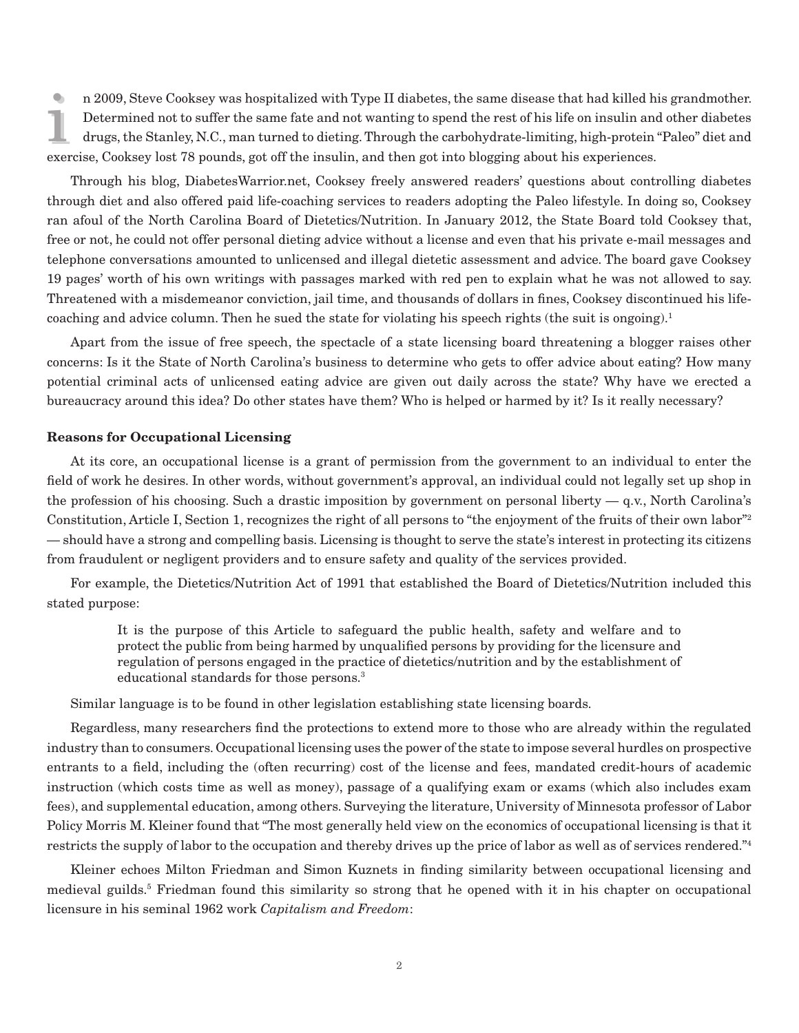In 2009, Steve Cooksey was nospitalized with Type II diabetes, the same disease that had Killed his Determined not to suffer the same fate and not wanting to spend the rest of his life on insulin and drugs, the Stanley, N. n 2009, Steve Cooksey was hospitalized with Type II diabetes, the same disease that had killed his grandmother. Determined not to suffer the same fate and not wanting to spend the rest of his life on insulin and other diabetes drugs, the Stanley, N.C., man turned to dieting. Through the carbohydrate-limiting, high-protein "Paleo" diet and

Through his blog, DiabetesWarrior.net, Cooksey freely answered readers' questions about controlling diabetes through diet and also offered paid life-coaching services to readers adopting the Paleo lifestyle. In doing so, Cooksey ran afoul of the North Carolina Board of Dietetics/Nutrition. In January 2012, the State Board told Cooksey that, free or not, he could not offer personal dieting advice without a license and even that his private e-mail messages and telephone conversations amounted to unlicensed and illegal dietetic assessment and advice. The board gave Cooksey 19 pages' worth of his own writings with passages marked with red pen to explain what he was not allowed to say. Threatened with a misdemeanor conviction, jail time, and thousands of dollars in fines, Cooksey discontinued his lifecoaching and advice column. Then he sued the state for violating his speech rights (the suit is ongoing).<sup>1</sup>

Apart from the issue of free speech, the spectacle of a state licensing board threatening a blogger raises other concerns: Is it the State of North Carolina's business to determine who gets to offer advice about eating? How many potential criminal acts of unlicensed eating advice are given out daily across the state? Why have we erected a bureaucracy around this idea? Do other states have them? Who is helped or harmed by it? Is it really necessary?

## **Reasons for Occupational Licensing**

At its core, an occupational license is a grant of permission from the government to an individual to enter the field of work he desires. In other words, without government's approval, an individual could not legally set up shop in the profession of his choosing. Such a drastic imposition by government on personal liberty  $-$  q.v., North Carolina's Constitution, Article I, Section 1, recognizes the right of all persons to "the enjoyment of the fruits of their own labor"2 — should have a strong and compelling basis. Licensing is thought to serve the state's interest in protecting its citizens from fraudulent or negligent providers and to ensure safety and quality of the services provided.

For example, the Dietetics/Nutrition Act of 1991 that established the Board of Dietetics/Nutrition included this stated purpose:

> It is the purpose of this Article to safeguard the public health, safety and welfare and to protect the public from being harmed by unqualified persons by providing for the licensure and regulation of persons engaged in the practice of dietetics/nutrition and by the establishment of educational standards for those persons.3

Similar language is to be found in other legislation establishing state licensing boards.

Regardless, many researchers find the protections to extend more to those who are already within the regulated industry than to consumers. Occupational licensing uses the power of the state to impose several hurdles on prospective entrants to a field, including the (often recurring) cost of the license and fees, mandated credit-hours of academic instruction (which costs time as well as money), passage of a qualifying exam or exams (which also includes exam fees), and supplemental education, among others. Surveying the literature, University of Minnesota professor of Labor Policy Morris M. Kleiner found that "The most generally held view on the economics of occupational licensing is that it restricts the supply of labor to the occupation and thereby drives up the price of labor as well as of services rendered."4

Kleiner echoes Milton Friedman and Simon Kuznets in finding similarity between occupational licensing and medieval guilds.5 Friedman found this similarity so strong that he opened with it in his chapter on occupational licensure in his seminal 1962 work *Capitalism and Freedom*: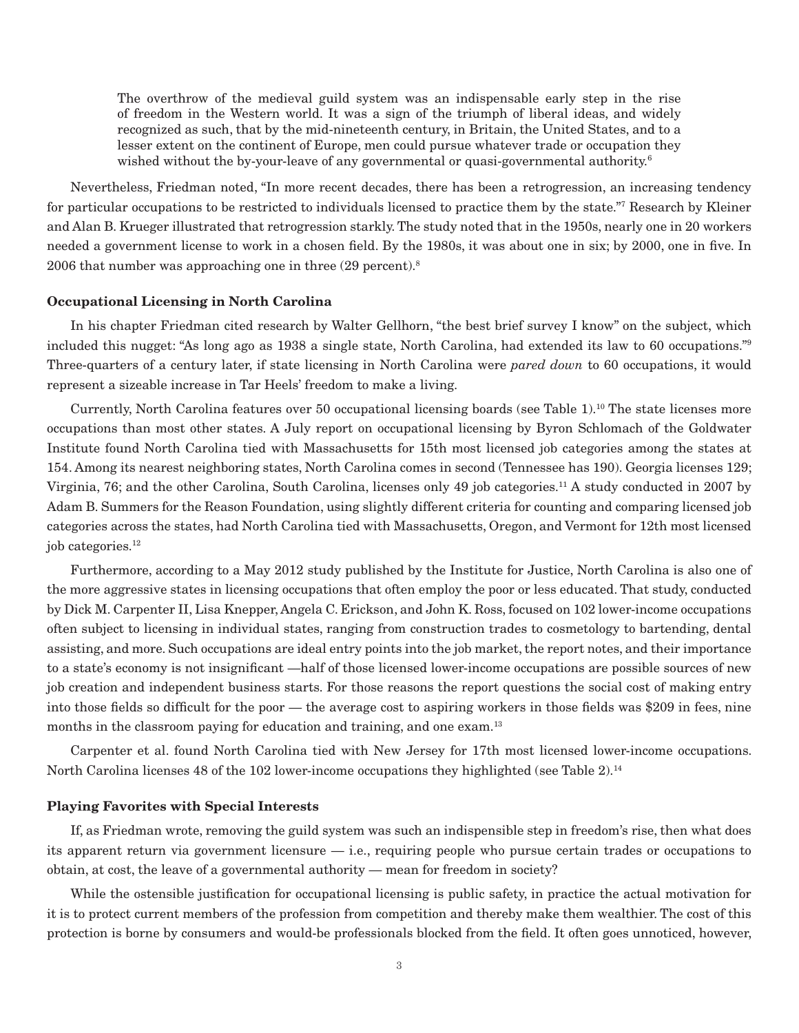The overthrow of the medieval guild system was an indispensable early step in the rise of freedom in the Western world. It was a sign of the triumph of liberal ideas, and widely recognized as such, that by the mid-nineteenth century, in Britain, the United States, and to a lesser extent on the continent of Europe, men could pursue whatever trade or occupation they wished without the by-your-leave of any governmental or quasi-governmental authority.<sup>6</sup>

Nevertheless, Friedman noted, "In more recent decades, there has been a retrogression, an increasing tendency for particular occupations to be restricted to individuals licensed to practice them by the state."7 Research by Kleiner and Alan B. Krueger illustrated that retrogression starkly. The study noted that in the 1950s, nearly one in 20 workers needed a government license to work in a chosen field. By the 1980s, it was about one in six; by 2000, one in five. In 2006 that number was approaching one in three (29 percent).8

# **Occupational Licensing in North Carolina**

In his chapter Friedman cited research by Walter Gellhorn, "the best brief survey I know" on the subject, which included this nugget: "As long ago as 1938 a single state, North Carolina, had extended its law to 60 occupations."9 Three-quarters of a century later, if state licensing in North Carolina were *pared down* to 60 occupations, it would represent a sizeable increase in Tar Heels' freedom to make a living.

Currently, North Carolina features over 50 occupational licensing boards (see Table 1).10 The state licenses more occupations than most other states. A July report on occupational licensing by Byron Schlomach of the Goldwater Institute found North Carolina tied with Massachusetts for 15th most licensed job categories among the states at 154. Among its nearest neighboring states, North Carolina comes in second (Tennessee has 190). Georgia licenses 129; Virginia, 76; and the other Carolina, South Carolina, licenses only 49 job categories.11 A study conducted in 2007 by Adam B. Summers for the Reason Foundation, using slightly different criteria for counting and comparing licensed job categories across the states, had North Carolina tied with Massachusetts, Oregon, and Vermont for 12th most licensed job categories.<sup>12</sup>

Furthermore, according to a May 2012 study published by the Institute for Justice, North Carolina is also one of the more aggressive states in licensing occupations that often employ the poor or less educated. That study, conducted by Dick M. Carpenter II, Lisa Knepper, Angela C. Erickson, and John K. Ross, focused on 102 lower-income occupations often subject to licensing in individual states, ranging from construction trades to cosmetology to bartending, dental assisting, and more. Such occupations are ideal entry points into the job market, the report notes, and their importance to a state's economy is not insignificant —half of those licensed lower-income occupations are possible sources of new job creation and independent business starts. For those reasons the report questions the social cost of making entry into those fields so difficult for the poor — the average cost to aspiring workers in those fields was \$209 in fees, nine months in the classroom paying for education and training, and one exam.<sup>13</sup>

Carpenter et al. found North Carolina tied with New Jersey for 17th most licensed lower-income occupations. North Carolina licenses 48 of the 102 lower-income occupations they highlighted (see Table 2).<sup>14</sup>

# **Playing Favorites with Special Interests**

If, as Friedman wrote, removing the guild system was such an indispensible step in freedom's rise, then what does its apparent return via government licensure — i.e., requiring people who pursue certain trades or occupations to obtain, at cost, the leave of a governmental authority — mean for freedom in society?

While the ostensible justification for occupational licensing is public safety, in practice the actual motivation for it is to protect current members of the profession from competition and thereby make them wealthier. The cost of this protection is borne by consumers and would-be professionals blocked from the field. It often goes unnoticed, however,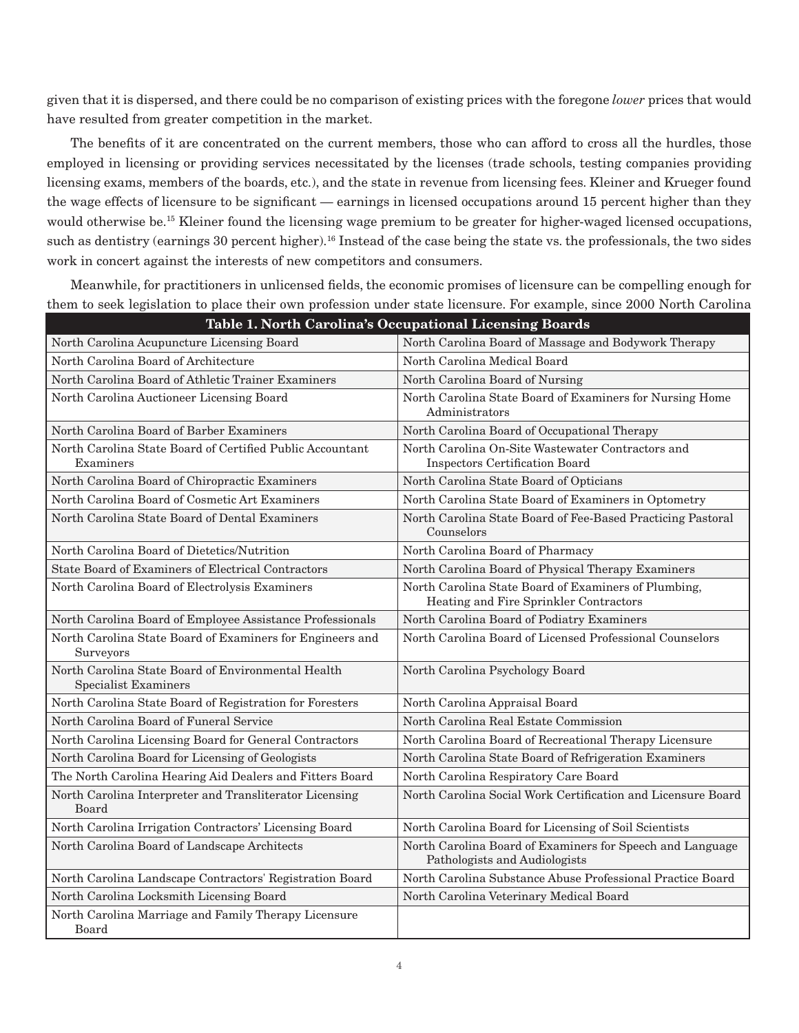given that it is dispersed, and there could be no comparison of existing prices with the foregone *lower* prices that would have resulted from greater competition in the market.

The benefits of it are concentrated on the current members, those who can afford to cross all the hurdles, those employed in licensing or providing services necessitated by the licenses (trade schools, testing companies providing licensing exams, members of the boards, etc.), and the state in revenue from licensing fees. Kleiner and Krueger found the wage effects of licensure to be significant — earnings in licensed occupations around 15 percent higher than they would otherwise be.<sup>15</sup> Kleiner found the licensing wage premium to be greater for higher-waged licensed occupations, such as dentistry (earnings 30 percent higher).<sup>16</sup> Instead of the case being the state vs. the professionals, the two sides work in concert against the interests of new competitors and consumers.

Meanwhile, for practitioners in unlicensed fields, the economic promises of licensure can be compelling enough for them to seek legislation to place their own profession under state licensure. For example, since 2000 North Carolina

| Table 1. North Carolina's Occupational Licensing Boards                           |                                                                                                |  |  |  |  |  |  |
|-----------------------------------------------------------------------------------|------------------------------------------------------------------------------------------------|--|--|--|--|--|--|
| North Carolina Acupuncture Licensing Board                                        | North Carolina Board of Massage and Bodywork Therapy                                           |  |  |  |  |  |  |
| North Carolina Board of Architecture                                              | North Carolina Medical Board                                                                   |  |  |  |  |  |  |
| North Carolina Board of Athletic Trainer Examiners                                | North Carolina Board of Nursing                                                                |  |  |  |  |  |  |
| North Carolina Auctioneer Licensing Board                                         | North Carolina State Board of Examiners for Nursing Home<br>Administrators                     |  |  |  |  |  |  |
| North Carolina Board of Barber Examiners                                          | North Carolina Board of Occupational Therapy                                                   |  |  |  |  |  |  |
| North Carolina State Board of Certified Public Accountant<br>Examiners            | North Carolina On-Site Wastewater Contractors and<br><b>Inspectors Certification Board</b>     |  |  |  |  |  |  |
| North Carolina Board of Chiropractic Examiners                                    | North Carolina State Board of Opticians                                                        |  |  |  |  |  |  |
| North Carolina Board of Cosmetic Art Examiners                                    | North Carolina State Board of Examiners in Optometry                                           |  |  |  |  |  |  |
| North Carolina State Board of Dental Examiners                                    | North Carolina State Board of Fee-Based Practicing Pastoral<br>Counselors                      |  |  |  |  |  |  |
| North Carolina Board of Dietetics/Nutrition                                       | North Carolina Board of Pharmacy                                                               |  |  |  |  |  |  |
| <b>State Board of Examiners of Electrical Contractors</b>                         | North Carolina Board of Physical Therapy Examiners                                             |  |  |  |  |  |  |
| North Carolina Board of Electrolysis Examiners                                    | North Carolina State Board of Examiners of Plumbing,<br>Heating and Fire Sprinkler Contractors |  |  |  |  |  |  |
| North Carolina Board of Employee Assistance Professionals                         | North Carolina Board of Podiatry Examiners                                                     |  |  |  |  |  |  |
| North Carolina State Board of Examiners for Engineers and<br>Surveyors            | North Carolina Board of Licensed Professional Counselors                                       |  |  |  |  |  |  |
| North Carolina State Board of Environmental Health<br><b>Specialist Examiners</b> | North Carolina Psychology Board                                                                |  |  |  |  |  |  |
| North Carolina State Board of Registration for Foresters                          | North Carolina Appraisal Board                                                                 |  |  |  |  |  |  |
| North Carolina Board of Funeral Service                                           | North Carolina Real Estate Commission                                                          |  |  |  |  |  |  |
| North Carolina Licensing Board for General Contractors                            | North Carolina Board of Recreational Therapy Licensure                                         |  |  |  |  |  |  |
| North Carolina Board for Licensing of Geologists                                  | North Carolina State Board of Refrigeration Examiners                                          |  |  |  |  |  |  |
| The North Carolina Hearing Aid Dealers and Fitters Board                          | North Carolina Respiratory Care Board                                                          |  |  |  |  |  |  |
| North Carolina Interpreter and Transliterator Licensing<br>Board                  | North Carolina Social Work Certification and Licensure Board                                   |  |  |  |  |  |  |
| North Carolina Irrigation Contractors' Licensing Board                            | North Carolina Board for Licensing of Soil Scientists                                          |  |  |  |  |  |  |
| North Carolina Board of Landscape Architects                                      | North Carolina Board of Examiners for Speech and Language<br>Pathologists and Audiologists     |  |  |  |  |  |  |
| North Carolina Landscape Contractors' Registration Board                          | North Carolina Substance Abuse Professional Practice Board                                     |  |  |  |  |  |  |
| North Carolina Locksmith Licensing Board                                          | North Carolina Veterinary Medical Board                                                        |  |  |  |  |  |  |
| North Carolina Marriage and Family Therapy Licensure<br>Board                     |                                                                                                |  |  |  |  |  |  |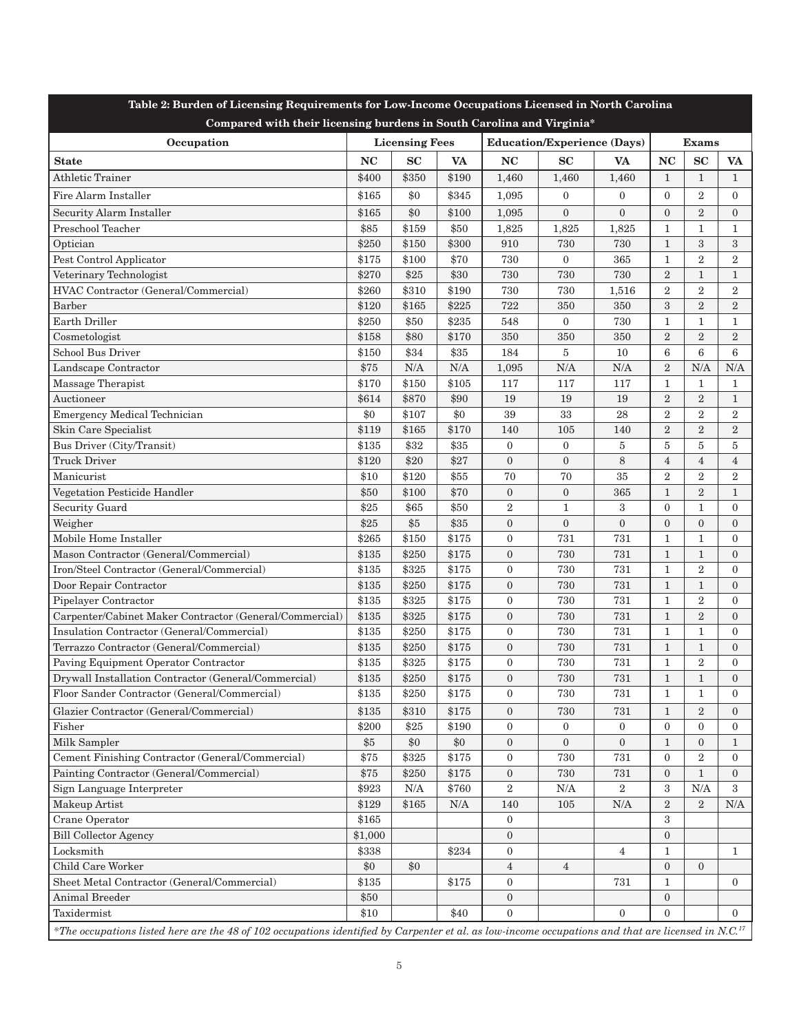| <b>Licensing Fees</b><br><b>Education/Experience (Days)</b><br><b>Exams</b><br>Occupation<br>SC<br><b>NC</b><br><b>NC</b><br>SC<br><b>NC</b><br><b>VA</b><br>SC<br><b>VA</b><br><b>VA</b><br><b>State</b><br><b>Athletic Trainer</b><br>\$400<br>\$350<br>\$190<br>$\mathbf{1}$<br>1,460<br>1,460<br>1,460<br>$\mathbf{1}$<br>$\mathbf{1}$<br>\$345<br>\$165<br>\$0<br>$\mathbf{0}$<br>$\mathbf{2}$<br>Fire Alarm Installer<br>1,095<br>$\boldsymbol{0}$<br>$\mathbf{0}$<br>$\mathbf{0}$<br>$\overline{2}$<br>\$165<br>\$0<br>\$100<br>$\mathbf{0}$<br>$\overline{0}$<br>$\mathbf{0}$<br><b>Security Alarm Installer</b><br>1,095<br>$\mathbf{0}$<br>Preschool Teacher<br>\$85<br>\$159<br>\$50<br>1,825<br>1,825<br>1,825<br>1<br>1<br>1<br>Optician<br>\$250<br>\$150<br>\$300<br>3<br>910<br>730<br>730<br>$\mathbf{1}$<br>3<br>Pest Control Applicator<br>\$175<br>\$100<br>\$70<br>730<br>$\boldsymbol{0}$<br>365<br>$\overline{2}$<br>$\overline{2}$<br>1<br>Veterinary Technologist<br>\$270<br>\$25<br>\$30<br>$\overline{2}$<br>730<br>730<br>730<br>$\mathbf{1}$<br>1<br>$\overline{2}$<br>$\overline{2}$<br>HVAC Contractor (General/Commercial)<br>\$260<br>\$310<br>\$190<br>$\overline{2}$<br>730<br>730<br>1,516<br>$\boldsymbol{3}$<br>$\overline{2}$<br><b>Barber</b><br>\$120<br>\$165<br>\$225<br>$\overline{2}$<br>722<br>350<br>350<br>\$250<br>\$50<br>\$235<br>Earth Driller<br>548<br>$\boldsymbol{0}$<br>730<br>$\mathbf{1}$<br>1<br>1<br>\$158<br>\$80<br>\$170<br>$\overline{2}$<br>$\overline{2}$<br>$\overline{2}$<br>Cosmetologist<br>350<br>350<br>350<br>6<br><b>School Bus Driver</b><br>\$150<br>\$34<br>\$35<br>$\bf 5$<br>6<br>6<br>184<br>10<br>\$75<br>N/A<br>N/A<br>N/A<br>N/A<br>$\overline{2}$<br>N/A<br>Landscape Contractor<br>1,095<br>N/A<br>\$170<br>\$150<br>\$105<br>Massage Therapist<br>117<br>117<br>117<br>$\mathbf{1}$<br>1<br>1<br>$\sqrt{2}$<br>\$614<br>\$870<br>\$90<br>19<br>$\overline{2}$<br>$\rm{Auctioneer}$<br>19<br>19<br>1<br>\$0<br>$\overline{2}$<br>$\overline{2}$<br><b>Emergency Medical Technician</b><br>\$0<br>\$107<br>39<br>33<br>28<br>$\overline{2}$<br>\$170<br>$\overline{2}$<br>$\overline{2}$<br>Skin Care Specialist<br>\$119<br>\$165<br>105<br>$\overline{2}$<br>140<br>140<br>$5\,$<br>Bus Driver (City/Transit)<br>\$135<br>\$32<br>\$35<br>$\boldsymbol{0}$<br>$\boldsymbol{0}$<br>5<br>5<br>5<br>$\overline{4}$<br>$\overline{4}$<br><b>Truck Driver</b><br>\$120<br>\$20<br>\$27<br>$\mathbf{0}$<br>$\boldsymbol{0}$<br>8<br>$\overline{4}$<br>\$10<br>\$120<br>\$55<br>70<br>70<br>35<br>$\overline{2}$<br>$\overline{2}$<br>Manicurist<br>$\overline{2}$<br>$\overline{2}$<br>\$50<br>\$100<br>\$70<br>$\boldsymbol{0}$<br>$\boldsymbol{0}$<br>Vegetation Pesticide Handler<br>365<br>$\mathbf{1}$<br>1<br>\$50<br>$\,2$<br>\$25<br>\$65<br>$\mathbf{1}$<br>3<br>$\mathbf{0}$<br>$\mathbf{1}$<br>Security Guard<br>$\overline{0}$<br>\$5<br>\$35<br>$\boldsymbol{0}$<br>$\boldsymbol{0}$<br>$\overline{0}$<br>$\overline{0}$<br>$\mathbf{0}$<br>Weigher<br>\$25<br>$\overline{0}$<br>Mobile Home Installer<br>\$265<br>\$150<br>\$175<br>$\boldsymbol{0}$<br>731<br>731<br>$\mathbf{1}$<br>$\mathbf{1}$<br>$\mathbf{0}$<br>Mason Contractor (General/Commercial)<br>$\mathbf{1}$<br>\$135<br>\$250<br>\$175<br>$\boldsymbol{0}$<br>730<br>731<br>$\mathbf{1}$<br>$\overline{0}$<br>\$325<br>$\overline{2}$<br>Iron/Steel Contractor (General/Commercial)<br>\$135<br>\$175<br>$\mathbf{0}$<br>730<br>731<br>$\mathbf{1}$<br>$\mathbf{0}$<br>$\mathbf{1}$<br>\$135<br>\$250<br>\$175<br>$\boldsymbol{0}$<br>730<br>731<br>$\mathbf{1}$<br>Door Repair Contractor<br>$\mathbf{0}$<br>\$135<br>\$325<br>$\mathbf{0}$<br>731<br>$\overline{2}$<br>\$175<br>730<br>$\mathbf{1}$<br>Pipelayer Contractor<br>$\mathbf{0}$<br>\$135<br>\$325<br>$\mathbf{0}$<br>$\overline{2}$<br>Carpenter/Cabinet Maker Contractor (General/Commercial)<br>\$175<br>730<br>731<br>$\mathbf{1}$<br>$\mathbf{0}$<br>\$135<br>\$175<br>$\mathbf{0}$<br>730<br>731<br>$\mathbf{1}$<br>Insulation Contractor (General/Commercial)<br>\$250<br>$\mathbf{1}$<br>$\mathbf{0}$<br>\$135<br>730<br>731<br>Terrazzo Contractor (General/Commercial)<br>\$250<br>\$175<br>$\mathbf{0}$<br>$\mathbf{1}$<br>$\mathbf{1}$<br>$\mathbf{0}$<br>$\boldsymbol{2}$<br>\$135<br>\$325<br>\$175<br>$\boldsymbol{0}$<br>730<br>731<br>$\mathbf{1}$<br>Paving Equipment Operator Contractor<br>$\mathbf{0}$<br>\$135<br>\$250<br>\$175<br>$\boldsymbol{0}$<br>730<br>731<br>$\mathbf{1}$<br>$\mathbf{1}$<br>Drywall Installation Contractor (General/Commercial)<br>$\mathbf{0}$<br>Floor Sander Contractor (General/Commercial)<br>\$135<br>\$250<br>\$175<br>730<br>$731\,$<br>$\boldsymbol{0}$<br>$\mathbf{1}$<br>$\mathbf{1}$<br>$\mathbf{0}$<br>Glazier Contractor (General/Commercial)<br>2<br>\$135<br>\$310<br>\$175<br>$\mathbf{0}$<br>730<br>731<br>$\mathbf{1}$<br>$\overline{0}$<br>\$190<br>Fisher<br>\$200<br>\$25<br>$\mathbf{0}$<br>$\boldsymbol{0}$<br>$\boldsymbol{0}$<br>$\boldsymbol{0}$<br>$\mathbf{0}$<br>$\bf{0}$<br>\$0<br>\$0<br>Milk Sampler<br>\$5<br>$\mathbf{0}$<br>$\mathbf{0}$<br>$\boldsymbol{0}$<br>$\mathbf{0}$<br>$\mathbf{1}$<br>$\mathbf{1}$<br>Cement Finishing Contractor (General/Commercial)<br>$\overline{2}$<br>\$75<br>\$325<br>\$175<br>730<br>731<br>$\mathbf{0}$<br>$\boldsymbol{0}$<br>$\overline{0}$<br>Painting Contractor (General/Commercial)<br>$\mathbf{1}$<br>\$75<br>\$250<br>\$175<br>$\mathbf{0}$<br>730<br>731<br>$\boldsymbol{0}$<br>$\overline{0}$<br>Sign Language Interpreter<br>\$923<br>N/A<br>\$760<br>$\overline{2}$<br>$\rm N/A$<br>$\overline{2}$<br>3<br>N/A<br>3<br>\$129<br>$\overline{2}$<br>2<br>Makeup Artist<br>\$165<br>$\rm N/A$<br>N/A<br>140<br>105<br>N/A<br>Crane Operator<br>\$165<br>3<br>$\boldsymbol{0}$<br>\$1,000<br>$\mathbf{0}$<br><b>Bill Collector Agency</b><br>$\mathbf{0}$<br>$\operatorname{Locksmith}$<br>\$338<br>\$234<br>$\mathbf{0}$<br>1<br>$\mathbf{1}$<br>4<br>Child Care Worker<br>\$0<br>\$0<br>$\overline{4}$<br>$\mathbf{0}$<br>$\mathbf{0}$<br>$\overline{4}$<br>\$135<br>Sheet Metal Contractor (General/Commercial)<br>$\mathbf{0}$<br>\$175<br>731<br>1<br>$\overline{0}$<br>\$50<br>Animal Breeder<br>$\mathbf{0}$<br>$\mathbf{0}$<br>\$10<br>$\theta$<br>Taxidermist<br>\$40<br>$\Omega$<br>$\Omega$<br>$\Omega$<br>*The occupations listed here are the 48 of 102 occupations identified by Carpenter et al. as low-income occupations and that are licensed in N.C. <sup>17</sup> | <b>EDW Enconno</b> occupa<br>Compared with their licensing burdens in South Carolina and Virginia* |  |  |  |  |  |  |  |  |  |  |  |
|----------------------------------------------------------------------------------------------------------------------------------------------------------------------------------------------------------------------------------------------------------------------------------------------------------------------------------------------------------------------------------------------------------------------------------------------------------------------------------------------------------------------------------------------------------------------------------------------------------------------------------------------------------------------------------------------------------------------------------------------------------------------------------------------------------------------------------------------------------------------------------------------------------------------------------------------------------------------------------------------------------------------------------------------------------------------------------------------------------------------------------------------------------------------------------------------------------------------------------------------------------------------------------------------------------------------------------------------------------------------------------------------------------------------------------------------------------------------------------------------------------------------------------------------------------------------------------------------------------------------------------------------------------------------------------------------------------------------------------------------------------------------------------------------------------------------------------------------------------------------------------------------------------------------------------------------------------------------------------------------------------------------------------------------------------------------------------------------------------------------------------------------------------------------------------------------------------------------------------------------------------------------------------------------------------------------------------------------------------------------------------------------------------------------------------------------------------------------------------------------------------------------------------------------------------------------------------------------------------------------------------------------------------------------------------------------------------------------------------------------------------------------------------------------------------------------------------------------------------------------------------------------------------------------------------------------------------------------------------------------------------------------------------------------------------------------------------------------------------------------------------------------------------------------------------------------------------------------------------------------------------------------------------------------------------------------------------------------------------------------------------------------------------------------------------------------------------------------------------------------------------------------------------------------------------------------------------------------------------------------------------------------------------------------------------------------------------------------------------------------------------------------------------------------------------------------------------------------------------------------------------------------------------------------------------------------------------------------------------------------------------------------------------------------------------------------------------------------------------------------------------------------------------------------------------------------------------------------------------------------------------------------------------------------------------------------------------------------------------------------------------------------------------------------------------------------------------------------------------------------------------------------------------------------------------------------------------------------------------------------------------------------------------------------------------------------------------------------------------------------------------------------------------------------------------------------------------------------------------------------------------------------------------------------------------------------------------------------------------------------------------------------------------------------------------------------------------------------------------------------------------------------------------------------------------------------------------------------------------------------------------------------------------------------------------------------------------------------------------------------------------------------------------------------------------------------------------------------------------------------------------------------------------------------------------------------------------------------------------------------------------------------------------------------------------------------------------------------------------------------------------------------------------------------------------------------------------------------------------------------------------------------------------------------------------------------------------------------------------------------------------------------------------------------------------------------------------------------------------------------------------------------------------------------------------------------------------------------------------------------------------------------------------------------------------------------------------------------------------------------------------------------------------------------------------------------------------------------------------------------------------------------------------------------------|----------------------------------------------------------------------------------------------------|--|--|--|--|--|--|--|--|--|--|--|
|                                                                                                                                                                                                                                                                                                                                                                                                                                                                                                                                                                                                                                                                                                                                                                                                                                                                                                                                                                                                                                                                                                                                                                                                                                                                                                                                                                                                                                                                                                                                                                                                                                                                                                                                                                                                                                                                                                                                                                                                                                                                                                                                                                                                                                                                                                                                                                                                                                                                                                                                                                                                                                                                                                                                                                                                                                                                                                                                                                                                                                                                                                                                                                                                                                                                                                                                                                                                                                                                                                                                                                                                                                                                                                                                                                                                                                                                                                                                                                                                                                                                                                                                                                                                                                                                                                                                                                                                                                                                                                                                                                                                                                                                                                                                                                                                                                                                                                                                                                                                                                                                                                                                                                                                                                                                                                                                                                                                                                                                                                                                                                                                                                                                                                                                                                                                                                                                                                                                                                                                                                                                                                                                                                                                                                                                                                                                                                                                                                                                                                                                                    |                                                                                                    |  |  |  |  |  |  |  |  |  |  |  |
|                                                                                                                                                                                                                                                                                                                                                                                                                                                                                                                                                                                                                                                                                                                                                                                                                                                                                                                                                                                                                                                                                                                                                                                                                                                                                                                                                                                                                                                                                                                                                                                                                                                                                                                                                                                                                                                                                                                                                                                                                                                                                                                                                                                                                                                                                                                                                                                                                                                                                                                                                                                                                                                                                                                                                                                                                                                                                                                                                                                                                                                                                                                                                                                                                                                                                                                                                                                                                                                                                                                                                                                                                                                                                                                                                                                                                                                                                                                                                                                                                                                                                                                                                                                                                                                                                                                                                                                                                                                                                                                                                                                                                                                                                                                                                                                                                                                                                                                                                                                                                                                                                                                                                                                                                                                                                                                                                                                                                                                                                                                                                                                                                                                                                                                                                                                                                                                                                                                                                                                                                                                                                                                                                                                                                                                                                                                                                                                                                                                                                                                                                    |                                                                                                    |  |  |  |  |  |  |  |  |  |  |  |
|                                                                                                                                                                                                                                                                                                                                                                                                                                                                                                                                                                                                                                                                                                                                                                                                                                                                                                                                                                                                                                                                                                                                                                                                                                                                                                                                                                                                                                                                                                                                                                                                                                                                                                                                                                                                                                                                                                                                                                                                                                                                                                                                                                                                                                                                                                                                                                                                                                                                                                                                                                                                                                                                                                                                                                                                                                                                                                                                                                                                                                                                                                                                                                                                                                                                                                                                                                                                                                                                                                                                                                                                                                                                                                                                                                                                                                                                                                                                                                                                                                                                                                                                                                                                                                                                                                                                                                                                                                                                                                                                                                                                                                                                                                                                                                                                                                                                                                                                                                                                                                                                                                                                                                                                                                                                                                                                                                                                                                                                                                                                                                                                                                                                                                                                                                                                                                                                                                                                                                                                                                                                                                                                                                                                                                                                                                                                                                                                                                                                                                                                                    |                                                                                                    |  |  |  |  |  |  |  |  |  |  |  |
|                                                                                                                                                                                                                                                                                                                                                                                                                                                                                                                                                                                                                                                                                                                                                                                                                                                                                                                                                                                                                                                                                                                                                                                                                                                                                                                                                                                                                                                                                                                                                                                                                                                                                                                                                                                                                                                                                                                                                                                                                                                                                                                                                                                                                                                                                                                                                                                                                                                                                                                                                                                                                                                                                                                                                                                                                                                                                                                                                                                                                                                                                                                                                                                                                                                                                                                                                                                                                                                                                                                                                                                                                                                                                                                                                                                                                                                                                                                                                                                                                                                                                                                                                                                                                                                                                                                                                                                                                                                                                                                                                                                                                                                                                                                                                                                                                                                                                                                                                                                                                                                                                                                                                                                                                                                                                                                                                                                                                                                                                                                                                                                                                                                                                                                                                                                                                                                                                                                                                                                                                                                                                                                                                                                                                                                                                                                                                                                                                                                                                                                                                    |                                                                                                    |  |  |  |  |  |  |  |  |  |  |  |
|                                                                                                                                                                                                                                                                                                                                                                                                                                                                                                                                                                                                                                                                                                                                                                                                                                                                                                                                                                                                                                                                                                                                                                                                                                                                                                                                                                                                                                                                                                                                                                                                                                                                                                                                                                                                                                                                                                                                                                                                                                                                                                                                                                                                                                                                                                                                                                                                                                                                                                                                                                                                                                                                                                                                                                                                                                                                                                                                                                                                                                                                                                                                                                                                                                                                                                                                                                                                                                                                                                                                                                                                                                                                                                                                                                                                                                                                                                                                                                                                                                                                                                                                                                                                                                                                                                                                                                                                                                                                                                                                                                                                                                                                                                                                                                                                                                                                                                                                                                                                                                                                                                                                                                                                                                                                                                                                                                                                                                                                                                                                                                                                                                                                                                                                                                                                                                                                                                                                                                                                                                                                                                                                                                                                                                                                                                                                                                                                                                                                                                                                                    |                                                                                                    |  |  |  |  |  |  |  |  |  |  |  |
|                                                                                                                                                                                                                                                                                                                                                                                                                                                                                                                                                                                                                                                                                                                                                                                                                                                                                                                                                                                                                                                                                                                                                                                                                                                                                                                                                                                                                                                                                                                                                                                                                                                                                                                                                                                                                                                                                                                                                                                                                                                                                                                                                                                                                                                                                                                                                                                                                                                                                                                                                                                                                                                                                                                                                                                                                                                                                                                                                                                                                                                                                                                                                                                                                                                                                                                                                                                                                                                                                                                                                                                                                                                                                                                                                                                                                                                                                                                                                                                                                                                                                                                                                                                                                                                                                                                                                                                                                                                                                                                                                                                                                                                                                                                                                                                                                                                                                                                                                                                                                                                                                                                                                                                                                                                                                                                                                                                                                                                                                                                                                                                                                                                                                                                                                                                                                                                                                                                                                                                                                                                                                                                                                                                                                                                                                                                                                                                                                                                                                                                                                    |                                                                                                    |  |  |  |  |  |  |  |  |  |  |  |
|                                                                                                                                                                                                                                                                                                                                                                                                                                                                                                                                                                                                                                                                                                                                                                                                                                                                                                                                                                                                                                                                                                                                                                                                                                                                                                                                                                                                                                                                                                                                                                                                                                                                                                                                                                                                                                                                                                                                                                                                                                                                                                                                                                                                                                                                                                                                                                                                                                                                                                                                                                                                                                                                                                                                                                                                                                                                                                                                                                                                                                                                                                                                                                                                                                                                                                                                                                                                                                                                                                                                                                                                                                                                                                                                                                                                                                                                                                                                                                                                                                                                                                                                                                                                                                                                                                                                                                                                                                                                                                                                                                                                                                                                                                                                                                                                                                                                                                                                                                                                                                                                                                                                                                                                                                                                                                                                                                                                                                                                                                                                                                                                                                                                                                                                                                                                                                                                                                                                                                                                                                                                                                                                                                                                                                                                                                                                                                                                                                                                                                                                                    |                                                                                                    |  |  |  |  |  |  |  |  |  |  |  |
|                                                                                                                                                                                                                                                                                                                                                                                                                                                                                                                                                                                                                                                                                                                                                                                                                                                                                                                                                                                                                                                                                                                                                                                                                                                                                                                                                                                                                                                                                                                                                                                                                                                                                                                                                                                                                                                                                                                                                                                                                                                                                                                                                                                                                                                                                                                                                                                                                                                                                                                                                                                                                                                                                                                                                                                                                                                                                                                                                                                                                                                                                                                                                                                                                                                                                                                                                                                                                                                                                                                                                                                                                                                                                                                                                                                                                                                                                                                                                                                                                                                                                                                                                                                                                                                                                                                                                                                                                                                                                                                                                                                                                                                                                                                                                                                                                                                                                                                                                                                                                                                                                                                                                                                                                                                                                                                                                                                                                                                                                                                                                                                                                                                                                                                                                                                                                                                                                                                                                                                                                                                                                                                                                                                                                                                                                                                                                                                                                                                                                                                                                    |                                                                                                    |  |  |  |  |  |  |  |  |  |  |  |
|                                                                                                                                                                                                                                                                                                                                                                                                                                                                                                                                                                                                                                                                                                                                                                                                                                                                                                                                                                                                                                                                                                                                                                                                                                                                                                                                                                                                                                                                                                                                                                                                                                                                                                                                                                                                                                                                                                                                                                                                                                                                                                                                                                                                                                                                                                                                                                                                                                                                                                                                                                                                                                                                                                                                                                                                                                                                                                                                                                                                                                                                                                                                                                                                                                                                                                                                                                                                                                                                                                                                                                                                                                                                                                                                                                                                                                                                                                                                                                                                                                                                                                                                                                                                                                                                                                                                                                                                                                                                                                                                                                                                                                                                                                                                                                                                                                                                                                                                                                                                                                                                                                                                                                                                                                                                                                                                                                                                                                                                                                                                                                                                                                                                                                                                                                                                                                                                                                                                                                                                                                                                                                                                                                                                                                                                                                                                                                                                                                                                                                                                                    |                                                                                                    |  |  |  |  |  |  |  |  |  |  |  |
|                                                                                                                                                                                                                                                                                                                                                                                                                                                                                                                                                                                                                                                                                                                                                                                                                                                                                                                                                                                                                                                                                                                                                                                                                                                                                                                                                                                                                                                                                                                                                                                                                                                                                                                                                                                                                                                                                                                                                                                                                                                                                                                                                                                                                                                                                                                                                                                                                                                                                                                                                                                                                                                                                                                                                                                                                                                                                                                                                                                                                                                                                                                                                                                                                                                                                                                                                                                                                                                                                                                                                                                                                                                                                                                                                                                                                                                                                                                                                                                                                                                                                                                                                                                                                                                                                                                                                                                                                                                                                                                                                                                                                                                                                                                                                                                                                                                                                                                                                                                                                                                                                                                                                                                                                                                                                                                                                                                                                                                                                                                                                                                                                                                                                                                                                                                                                                                                                                                                                                                                                                                                                                                                                                                                                                                                                                                                                                                                                                                                                                                                                    |                                                                                                    |  |  |  |  |  |  |  |  |  |  |  |
|                                                                                                                                                                                                                                                                                                                                                                                                                                                                                                                                                                                                                                                                                                                                                                                                                                                                                                                                                                                                                                                                                                                                                                                                                                                                                                                                                                                                                                                                                                                                                                                                                                                                                                                                                                                                                                                                                                                                                                                                                                                                                                                                                                                                                                                                                                                                                                                                                                                                                                                                                                                                                                                                                                                                                                                                                                                                                                                                                                                                                                                                                                                                                                                                                                                                                                                                                                                                                                                                                                                                                                                                                                                                                                                                                                                                                                                                                                                                                                                                                                                                                                                                                                                                                                                                                                                                                                                                                                                                                                                                                                                                                                                                                                                                                                                                                                                                                                                                                                                                                                                                                                                                                                                                                                                                                                                                                                                                                                                                                                                                                                                                                                                                                                                                                                                                                                                                                                                                                                                                                                                                                                                                                                                                                                                                                                                                                                                                                                                                                                                                                    |                                                                                                    |  |  |  |  |  |  |  |  |  |  |  |
|                                                                                                                                                                                                                                                                                                                                                                                                                                                                                                                                                                                                                                                                                                                                                                                                                                                                                                                                                                                                                                                                                                                                                                                                                                                                                                                                                                                                                                                                                                                                                                                                                                                                                                                                                                                                                                                                                                                                                                                                                                                                                                                                                                                                                                                                                                                                                                                                                                                                                                                                                                                                                                                                                                                                                                                                                                                                                                                                                                                                                                                                                                                                                                                                                                                                                                                                                                                                                                                                                                                                                                                                                                                                                                                                                                                                                                                                                                                                                                                                                                                                                                                                                                                                                                                                                                                                                                                                                                                                                                                                                                                                                                                                                                                                                                                                                                                                                                                                                                                                                                                                                                                                                                                                                                                                                                                                                                                                                                                                                                                                                                                                                                                                                                                                                                                                                                                                                                                                                                                                                                                                                                                                                                                                                                                                                                                                                                                                                                                                                                                                                    |                                                                                                    |  |  |  |  |  |  |  |  |  |  |  |
|                                                                                                                                                                                                                                                                                                                                                                                                                                                                                                                                                                                                                                                                                                                                                                                                                                                                                                                                                                                                                                                                                                                                                                                                                                                                                                                                                                                                                                                                                                                                                                                                                                                                                                                                                                                                                                                                                                                                                                                                                                                                                                                                                                                                                                                                                                                                                                                                                                                                                                                                                                                                                                                                                                                                                                                                                                                                                                                                                                                                                                                                                                                                                                                                                                                                                                                                                                                                                                                                                                                                                                                                                                                                                                                                                                                                                                                                                                                                                                                                                                                                                                                                                                                                                                                                                                                                                                                                                                                                                                                                                                                                                                                                                                                                                                                                                                                                                                                                                                                                                                                                                                                                                                                                                                                                                                                                                                                                                                                                                                                                                                                                                                                                                                                                                                                                                                                                                                                                                                                                                                                                                                                                                                                                                                                                                                                                                                                                                                                                                                                                                    |                                                                                                    |  |  |  |  |  |  |  |  |  |  |  |
|                                                                                                                                                                                                                                                                                                                                                                                                                                                                                                                                                                                                                                                                                                                                                                                                                                                                                                                                                                                                                                                                                                                                                                                                                                                                                                                                                                                                                                                                                                                                                                                                                                                                                                                                                                                                                                                                                                                                                                                                                                                                                                                                                                                                                                                                                                                                                                                                                                                                                                                                                                                                                                                                                                                                                                                                                                                                                                                                                                                                                                                                                                                                                                                                                                                                                                                                                                                                                                                                                                                                                                                                                                                                                                                                                                                                                                                                                                                                                                                                                                                                                                                                                                                                                                                                                                                                                                                                                                                                                                                                                                                                                                                                                                                                                                                                                                                                                                                                                                                                                                                                                                                                                                                                                                                                                                                                                                                                                                                                                                                                                                                                                                                                                                                                                                                                                                                                                                                                                                                                                                                                                                                                                                                                                                                                                                                                                                                                                                                                                                                                                    |                                                                                                    |  |  |  |  |  |  |  |  |  |  |  |
|                                                                                                                                                                                                                                                                                                                                                                                                                                                                                                                                                                                                                                                                                                                                                                                                                                                                                                                                                                                                                                                                                                                                                                                                                                                                                                                                                                                                                                                                                                                                                                                                                                                                                                                                                                                                                                                                                                                                                                                                                                                                                                                                                                                                                                                                                                                                                                                                                                                                                                                                                                                                                                                                                                                                                                                                                                                                                                                                                                                                                                                                                                                                                                                                                                                                                                                                                                                                                                                                                                                                                                                                                                                                                                                                                                                                                                                                                                                                                                                                                                                                                                                                                                                                                                                                                                                                                                                                                                                                                                                                                                                                                                                                                                                                                                                                                                                                                                                                                                                                                                                                                                                                                                                                                                                                                                                                                                                                                                                                                                                                                                                                                                                                                                                                                                                                                                                                                                                                                                                                                                                                                                                                                                                                                                                                                                                                                                                                                                                                                                                                                    |                                                                                                    |  |  |  |  |  |  |  |  |  |  |  |
|                                                                                                                                                                                                                                                                                                                                                                                                                                                                                                                                                                                                                                                                                                                                                                                                                                                                                                                                                                                                                                                                                                                                                                                                                                                                                                                                                                                                                                                                                                                                                                                                                                                                                                                                                                                                                                                                                                                                                                                                                                                                                                                                                                                                                                                                                                                                                                                                                                                                                                                                                                                                                                                                                                                                                                                                                                                                                                                                                                                                                                                                                                                                                                                                                                                                                                                                                                                                                                                                                                                                                                                                                                                                                                                                                                                                                                                                                                                                                                                                                                                                                                                                                                                                                                                                                                                                                                                                                                                                                                                                                                                                                                                                                                                                                                                                                                                                                                                                                                                                                                                                                                                                                                                                                                                                                                                                                                                                                                                                                                                                                                                                                                                                                                                                                                                                                                                                                                                                                                                                                                                                                                                                                                                                                                                                                                                                                                                                                                                                                                                                                    |                                                                                                    |  |  |  |  |  |  |  |  |  |  |  |
|                                                                                                                                                                                                                                                                                                                                                                                                                                                                                                                                                                                                                                                                                                                                                                                                                                                                                                                                                                                                                                                                                                                                                                                                                                                                                                                                                                                                                                                                                                                                                                                                                                                                                                                                                                                                                                                                                                                                                                                                                                                                                                                                                                                                                                                                                                                                                                                                                                                                                                                                                                                                                                                                                                                                                                                                                                                                                                                                                                                                                                                                                                                                                                                                                                                                                                                                                                                                                                                                                                                                                                                                                                                                                                                                                                                                                                                                                                                                                                                                                                                                                                                                                                                                                                                                                                                                                                                                                                                                                                                                                                                                                                                                                                                                                                                                                                                                                                                                                                                                                                                                                                                                                                                                                                                                                                                                                                                                                                                                                                                                                                                                                                                                                                                                                                                                                                                                                                                                                                                                                                                                                                                                                                                                                                                                                                                                                                                                                                                                                                                                                    |                                                                                                    |  |  |  |  |  |  |  |  |  |  |  |
|                                                                                                                                                                                                                                                                                                                                                                                                                                                                                                                                                                                                                                                                                                                                                                                                                                                                                                                                                                                                                                                                                                                                                                                                                                                                                                                                                                                                                                                                                                                                                                                                                                                                                                                                                                                                                                                                                                                                                                                                                                                                                                                                                                                                                                                                                                                                                                                                                                                                                                                                                                                                                                                                                                                                                                                                                                                                                                                                                                                                                                                                                                                                                                                                                                                                                                                                                                                                                                                                                                                                                                                                                                                                                                                                                                                                                                                                                                                                                                                                                                                                                                                                                                                                                                                                                                                                                                                                                                                                                                                                                                                                                                                                                                                                                                                                                                                                                                                                                                                                                                                                                                                                                                                                                                                                                                                                                                                                                                                                                                                                                                                                                                                                                                                                                                                                                                                                                                                                                                                                                                                                                                                                                                                                                                                                                                                                                                                                                                                                                                                                                    |                                                                                                    |  |  |  |  |  |  |  |  |  |  |  |
|                                                                                                                                                                                                                                                                                                                                                                                                                                                                                                                                                                                                                                                                                                                                                                                                                                                                                                                                                                                                                                                                                                                                                                                                                                                                                                                                                                                                                                                                                                                                                                                                                                                                                                                                                                                                                                                                                                                                                                                                                                                                                                                                                                                                                                                                                                                                                                                                                                                                                                                                                                                                                                                                                                                                                                                                                                                                                                                                                                                                                                                                                                                                                                                                                                                                                                                                                                                                                                                                                                                                                                                                                                                                                                                                                                                                                                                                                                                                                                                                                                                                                                                                                                                                                                                                                                                                                                                                                                                                                                                                                                                                                                                                                                                                                                                                                                                                                                                                                                                                                                                                                                                                                                                                                                                                                                                                                                                                                                                                                                                                                                                                                                                                                                                                                                                                                                                                                                                                                                                                                                                                                                                                                                                                                                                                                                                                                                                                                                                                                                                                                    |                                                                                                    |  |  |  |  |  |  |  |  |  |  |  |
|                                                                                                                                                                                                                                                                                                                                                                                                                                                                                                                                                                                                                                                                                                                                                                                                                                                                                                                                                                                                                                                                                                                                                                                                                                                                                                                                                                                                                                                                                                                                                                                                                                                                                                                                                                                                                                                                                                                                                                                                                                                                                                                                                                                                                                                                                                                                                                                                                                                                                                                                                                                                                                                                                                                                                                                                                                                                                                                                                                                                                                                                                                                                                                                                                                                                                                                                                                                                                                                                                                                                                                                                                                                                                                                                                                                                                                                                                                                                                                                                                                                                                                                                                                                                                                                                                                                                                                                                                                                                                                                                                                                                                                                                                                                                                                                                                                                                                                                                                                                                                                                                                                                                                                                                                                                                                                                                                                                                                                                                                                                                                                                                                                                                                                                                                                                                                                                                                                                                                                                                                                                                                                                                                                                                                                                                                                                                                                                                                                                                                                                                                    |                                                                                                    |  |  |  |  |  |  |  |  |  |  |  |
|                                                                                                                                                                                                                                                                                                                                                                                                                                                                                                                                                                                                                                                                                                                                                                                                                                                                                                                                                                                                                                                                                                                                                                                                                                                                                                                                                                                                                                                                                                                                                                                                                                                                                                                                                                                                                                                                                                                                                                                                                                                                                                                                                                                                                                                                                                                                                                                                                                                                                                                                                                                                                                                                                                                                                                                                                                                                                                                                                                                                                                                                                                                                                                                                                                                                                                                                                                                                                                                                                                                                                                                                                                                                                                                                                                                                                                                                                                                                                                                                                                                                                                                                                                                                                                                                                                                                                                                                                                                                                                                                                                                                                                                                                                                                                                                                                                                                                                                                                                                                                                                                                                                                                                                                                                                                                                                                                                                                                                                                                                                                                                                                                                                                                                                                                                                                                                                                                                                                                                                                                                                                                                                                                                                                                                                                                                                                                                                                                                                                                                                                                    |                                                                                                    |  |  |  |  |  |  |  |  |  |  |  |
|                                                                                                                                                                                                                                                                                                                                                                                                                                                                                                                                                                                                                                                                                                                                                                                                                                                                                                                                                                                                                                                                                                                                                                                                                                                                                                                                                                                                                                                                                                                                                                                                                                                                                                                                                                                                                                                                                                                                                                                                                                                                                                                                                                                                                                                                                                                                                                                                                                                                                                                                                                                                                                                                                                                                                                                                                                                                                                                                                                                                                                                                                                                                                                                                                                                                                                                                                                                                                                                                                                                                                                                                                                                                                                                                                                                                                                                                                                                                                                                                                                                                                                                                                                                                                                                                                                                                                                                                                                                                                                                                                                                                                                                                                                                                                                                                                                                                                                                                                                                                                                                                                                                                                                                                                                                                                                                                                                                                                                                                                                                                                                                                                                                                                                                                                                                                                                                                                                                                                                                                                                                                                                                                                                                                                                                                                                                                                                                                                                                                                                                                                    |                                                                                                    |  |  |  |  |  |  |  |  |  |  |  |
|                                                                                                                                                                                                                                                                                                                                                                                                                                                                                                                                                                                                                                                                                                                                                                                                                                                                                                                                                                                                                                                                                                                                                                                                                                                                                                                                                                                                                                                                                                                                                                                                                                                                                                                                                                                                                                                                                                                                                                                                                                                                                                                                                                                                                                                                                                                                                                                                                                                                                                                                                                                                                                                                                                                                                                                                                                                                                                                                                                                                                                                                                                                                                                                                                                                                                                                                                                                                                                                                                                                                                                                                                                                                                                                                                                                                                                                                                                                                                                                                                                                                                                                                                                                                                                                                                                                                                                                                                                                                                                                                                                                                                                                                                                                                                                                                                                                                                                                                                                                                                                                                                                                                                                                                                                                                                                                                                                                                                                                                                                                                                                                                                                                                                                                                                                                                                                                                                                                                                                                                                                                                                                                                                                                                                                                                                                                                                                                                                                                                                                                                                    |                                                                                                    |  |  |  |  |  |  |  |  |  |  |  |
|                                                                                                                                                                                                                                                                                                                                                                                                                                                                                                                                                                                                                                                                                                                                                                                                                                                                                                                                                                                                                                                                                                                                                                                                                                                                                                                                                                                                                                                                                                                                                                                                                                                                                                                                                                                                                                                                                                                                                                                                                                                                                                                                                                                                                                                                                                                                                                                                                                                                                                                                                                                                                                                                                                                                                                                                                                                                                                                                                                                                                                                                                                                                                                                                                                                                                                                                                                                                                                                                                                                                                                                                                                                                                                                                                                                                                                                                                                                                                                                                                                                                                                                                                                                                                                                                                                                                                                                                                                                                                                                                                                                                                                                                                                                                                                                                                                                                                                                                                                                                                                                                                                                                                                                                                                                                                                                                                                                                                                                                                                                                                                                                                                                                                                                                                                                                                                                                                                                                                                                                                                                                                                                                                                                                                                                                                                                                                                                                                                                                                                                                                    |                                                                                                    |  |  |  |  |  |  |  |  |  |  |  |
|                                                                                                                                                                                                                                                                                                                                                                                                                                                                                                                                                                                                                                                                                                                                                                                                                                                                                                                                                                                                                                                                                                                                                                                                                                                                                                                                                                                                                                                                                                                                                                                                                                                                                                                                                                                                                                                                                                                                                                                                                                                                                                                                                                                                                                                                                                                                                                                                                                                                                                                                                                                                                                                                                                                                                                                                                                                                                                                                                                                                                                                                                                                                                                                                                                                                                                                                                                                                                                                                                                                                                                                                                                                                                                                                                                                                                                                                                                                                                                                                                                                                                                                                                                                                                                                                                                                                                                                                                                                                                                                                                                                                                                                                                                                                                                                                                                                                                                                                                                                                                                                                                                                                                                                                                                                                                                                                                                                                                                                                                                                                                                                                                                                                                                                                                                                                                                                                                                                                                                                                                                                                                                                                                                                                                                                                                                                                                                                                                                                                                                                                                    |                                                                                                    |  |  |  |  |  |  |  |  |  |  |  |
|                                                                                                                                                                                                                                                                                                                                                                                                                                                                                                                                                                                                                                                                                                                                                                                                                                                                                                                                                                                                                                                                                                                                                                                                                                                                                                                                                                                                                                                                                                                                                                                                                                                                                                                                                                                                                                                                                                                                                                                                                                                                                                                                                                                                                                                                                                                                                                                                                                                                                                                                                                                                                                                                                                                                                                                                                                                                                                                                                                                                                                                                                                                                                                                                                                                                                                                                                                                                                                                                                                                                                                                                                                                                                                                                                                                                                                                                                                                                                                                                                                                                                                                                                                                                                                                                                                                                                                                                                                                                                                                                                                                                                                                                                                                                                                                                                                                                                                                                                                                                                                                                                                                                                                                                                                                                                                                                                                                                                                                                                                                                                                                                                                                                                                                                                                                                                                                                                                                                                                                                                                                                                                                                                                                                                                                                                                                                                                                                                                                                                                                                                    |                                                                                                    |  |  |  |  |  |  |  |  |  |  |  |
|                                                                                                                                                                                                                                                                                                                                                                                                                                                                                                                                                                                                                                                                                                                                                                                                                                                                                                                                                                                                                                                                                                                                                                                                                                                                                                                                                                                                                                                                                                                                                                                                                                                                                                                                                                                                                                                                                                                                                                                                                                                                                                                                                                                                                                                                                                                                                                                                                                                                                                                                                                                                                                                                                                                                                                                                                                                                                                                                                                                                                                                                                                                                                                                                                                                                                                                                                                                                                                                                                                                                                                                                                                                                                                                                                                                                                                                                                                                                                                                                                                                                                                                                                                                                                                                                                                                                                                                                                                                                                                                                                                                                                                                                                                                                                                                                                                                                                                                                                                                                                                                                                                                                                                                                                                                                                                                                                                                                                                                                                                                                                                                                                                                                                                                                                                                                                                                                                                                                                                                                                                                                                                                                                                                                                                                                                                                                                                                                                                                                                                                                                    |                                                                                                    |  |  |  |  |  |  |  |  |  |  |  |
|                                                                                                                                                                                                                                                                                                                                                                                                                                                                                                                                                                                                                                                                                                                                                                                                                                                                                                                                                                                                                                                                                                                                                                                                                                                                                                                                                                                                                                                                                                                                                                                                                                                                                                                                                                                                                                                                                                                                                                                                                                                                                                                                                                                                                                                                                                                                                                                                                                                                                                                                                                                                                                                                                                                                                                                                                                                                                                                                                                                                                                                                                                                                                                                                                                                                                                                                                                                                                                                                                                                                                                                                                                                                                                                                                                                                                                                                                                                                                                                                                                                                                                                                                                                                                                                                                                                                                                                                                                                                                                                                                                                                                                                                                                                                                                                                                                                                                                                                                                                                                                                                                                                                                                                                                                                                                                                                                                                                                                                                                                                                                                                                                                                                                                                                                                                                                                                                                                                                                                                                                                                                                                                                                                                                                                                                                                                                                                                                                                                                                                                                                    |                                                                                                    |  |  |  |  |  |  |  |  |  |  |  |
|                                                                                                                                                                                                                                                                                                                                                                                                                                                                                                                                                                                                                                                                                                                                                                                                                                                                                                                                                                                                                                                                                                                                                                                                                                                                                                                                                                                                                                                                                                                                                                                                                                                                                                                                                                                                                                                                                                                                                                                                                                                                                                                                                                                                                                                                                                                                                                                                                                                                                                                                                                                                                                                                                                                                                                                                                                                                                                                                                                                                                                                                                                                                                                                                                                                                                                                                                                                                                                                                                                                                                                                                                                                                                                                                                                                                                                                                                                                                                                                                                                                                                                                                                                                                                                                                                                                                                                                                                                                                                                                                                                                                                                                                                                                                                                                                                                                                                                                                                                                                                                                                                                                                                                                                                                                                                                                                                                                                                                                                                                                                                                                                                                                                                                                                                                                                                                                                                                                                                                                                                                                                                                                                                                                                                                                                                                                                                                                                                                                                                                                                                    |                                                                                                    |  |  |  |  |  |  |  |  |  |  |  |
|                                                                                                                                                                                                                                                                                                                                                                                                                                                                                                                                                                                                                                                                                                                                                                                                                                                                                                                                                                                                                                                                                                                                                                                                                                                                                                                                                                                                                                                                                                                                                                                                                                                                                                                                                                                                                                                                                                                                                                                                                                                                                                                                                                                                                                                                                                                                                                                                                                                                                                                                                                                                                                                                                                                                                                                                                                                                                                                                                                                                                                                                                                                                                                                                                                                                                                                                                                                                                                                                                                                                                                                                                                                                                                                                                                                                                                                                                                                                                                                                                                                                                                                                                                                                                                                                                                                                                                                                                                                                                                                                                                                                                                                                                                                                                                                                                                                                                                                                                                                                                                                                                                                                                                                                                                                                                                                                                                                                                                                                                                                                                                                                                                                                                                                                                                                                                                                                                                                                                                                                                                                                                                                                                                                                                                                                                                                                                                                                                                                                                                                                                    |                                                                                                    |  |  |  |  |  |  |  |  |  |  |  |
|                                                                                                                                                                                                                                                                                                                                                                                                                                                                                                                                                                                                                                                                                                                                                                                                                                                                                                                                                                                                                                                                                                                                                                                                                                                                                                                                                                                                                                                                                                                                                                                                                                                                                                                                                                                                                                                                                                                                                                                                                                                                                                                                                                                                                                                                                                                                                                                                                                                                                                                                                                                                                                                                                                                                                                                                                                                                                                                                                                                                                                                                                                                                                                                                                                                                                                                                                                                                                                                                                                                                                                                                                                                                                                                                                                                                                                                                                                                                                                                                                                                                                                                                                                                                                                                                                                                                                                                                                                                                                                                                                                                                                                                                                                                                                                                                                                                                                                                                                                                                                                                                                                                                                                                                                                                                                                                                                                                                                                                                                                                                                                                                                                                                                                                                                                                                                                                                                                                                                                                                                                                                                                                                                                                                                                                                                                                                                                                                                                                                                                                                                    |                                                                                                    |  |  |  |  |  |  |  |  |  |  |  |
|                                                                                                                                                                                                                                                                                                                                                                                                                                                                                                                                                                                                                                                                                                                                                                                                                                                                                                                                                                                                                                                                                                                                                                                                                                                                                                                                                                                                                                                                                                                                                                                                                                                                                                                                                                                                                                                                                                                                                                                                                                                                                                                                                                                                                                                                                                                                                                                                                                                                                                                                                                                                                                                                                                                                                                                                                                                                                                                                                                                                                                                                                                                                                                                                                                                                                                                                                                                                                                                                                                                                                                                                                                                                                                                                                                                                                                                                                                                                                                                                                                                                                                                                                                                                                                                                                                                                                                                                                                                                                                                                                                                                                                                                                                                                                                                                                                                                                                                                                                                                                                                                                                                                                                                                                                                                                                                                                                                                                                                                                                                                                                                                                                                                                                                                                                                                                                                                                                                                                                                                                                                                                                                                                                                                                                                                                                                                                                                                                                                                                                                                                    |                                                                                                    |  |  |  |  |  |  |  |  |  |  |  |
|                                                                                                                                                                                                                                                                                                                                                                                                                                                                                                                                                                                                                                                                                                                                                                                                                                                                                                                                                                                                                                                                                                                                                                                                                                                                                                                                                                                                                                                                                                                                                                                                                                                                                                                                                                                                                                                                                                                                                                                                                                                                                                                                                                                                                                                                                                                                                                                                                                                                                                                                                                                                                                                                                                                                                                                                                                                                                                                                                                                                                                                                                                                                                                                                                                                                                                                                                                                                                                                                                                                                                                                                                                                                                                                                                                                                                                                                                                                                                                                                                                                                                                                                                                                                                                                                                                                                                                                                                                                                                                                                                                                                                                                                                                                                                                                                                                                                                                                                                                                                                                                                                                                                                                                                                                                                                                                                                                                                                                                                                                                                                                                                                                                                                                                                                                                                                                                                                                                                                                                                                                                                                                                                                                                                                                                                                                                                                                                                                                                                                                                                                    |                                                                                                    |  |  |  |  |  |  |  |  |  |  |  |
|                                                                                                                                                                                                                                                                                                                                                                                                                                                                                                                                                                                                                                                                                                                                                                                                                                                                                                                                                                                                                                                                                                                                                                                                                                                                                                                                                                                                                                                                                                                                                                                                                                                                                                                                                                                                                                                                                                                                                                                                                                                                                                                                                                                                                                                                                                                                                                                                                                                                                                                                                                                                                                                                                                                                                                                                                                                                                                                                                                                                                                                                                                                                                                                                                                                                                                                                                                                                                                                                                                                                                                                                                                                                                                                                                                                                                                                                                                                                                                                                                                                                                                                                                                                                                                                                                                                                                                                                                                                                                                                                                                                                                                                                                                                                                                                                                                                                                                                                                                                                                                                                                                                                                                                                                                                                                                                                                                                                                                                                                                                                                                                                                                                                                                                                                                                                                                                                                                                                                                                                                                                                                                                                                                                                                                                                                                                                                                                                                                                                                                                                                    |                                                                                                    |  |  |  |  |  |  |  |  |  |  |  |
|                                                                                                                                                                                                                                                                                                                                                                                                                                                                                                                                                                                                                                                                                                                                                                                                                                                                                                                                                                                                                                                                                                                                                                                                                                                                                                                                                                                                                                                                                                                                                                                                                                                                                                                                                                                                                                                                                                                                                                                                                                                                                                                                                                                                                                                                                                                                                                                                                                                                                                                                                                                                                                                                                                                                                                                                                                                                                                                                                                                                                                                                                                                                                                                                                                                                                                                                                                                                                                                                                                                                                                                                                                                                                                                                                                                                                                                                                                                                                                                                                                                                                                                                                                                                                                                                                                                                                                                                                                                                                                                                                                                                                                                                                                                                                                                                                                                                                                                                                                                                                                                                                                                                                                                                                                                                                                                                                                                                                                                                                                                                                                                                                                                                                                                                                                                                                                                                                                                                                                                                                                                                                                                                                                                                                                                                                                                                                                                                                                                                                                                                                    |                                                                                                    |  |  |  |  |  |  |  |  |  |  |  |
|                                                                                                                                                                                                                                                                                                                                                                                                                                                                                                                                                                                                                                                                                                                                                                                                                                                                                                                                                                                                                                                                                                                                                                                                                                                                                                                                                                                                                                                                                                                                                                                                                                                                                                                                                                                                                                                                                                                                                                                                                                                                                                                                                                                                                                                                                                                                                                                                                                                                                                                                                                                                                                                                                                                                                                                                                                                                                                                                                                                                                                                                                                                                                                                                                                                                                                                                                                                                                                                                                                                                                                                                                                                                                                                                                                                                                                                                                                                                                                                                                                                                                                                                                                                                                                                                                                                                                                                                                                                                                                                                                                                                                                                                                                                                                                                                                                                                                                                                                                                                                                                                                                                                                                                                                                                                                                                                                                                                                                                                                                                                                                                                                                                                                                                                                                                                                                                                                                                                                                                                                                                                                                                                                                                                                                                                                                                                                                                                                                                                                                                                                    |                                                                                                    |  |  |  |  |  |  |  |  |  |  |  |
|                                                                                                                                                                                                                                                                                                                                                                                                                                                                                                                                                                                                                                                                                                                                                                                                                                                                                                                                                                                                                                                                                                                                                                                                                                                                                                                                                                                                                                                                                                                                                                                                                                                                                                                                                                                                                                                                                                                                                                                                                                                                                                                                                                                                                                                                                                                                                                                                                                                                                                                                                                                                                                                                                                                                                                                                                                                                                                                                                                                                                                                                                                                                                                                                                                                                                                                                                                                                                                                                                                                                                                                                                                                                                                                                                                                                                                                                                                                                                                                                                                                                                                                                                                                                                                                                                                                                                                                                                                                                                                                                                                                                                                                                                                                                                                                                                                                                                                                                                                                                                                                                                                                                                                                                                                                                                                                                                                                                                                                                                                                                                                                                                                                                                                                                                                                                                                                                                                                                                                                                                                                                                                                                                                                                                                                                                                                                                                                                                                                                                                                                                    |                                                                                                    |  |  |  |  |  |  |  |  |  |  |  |
|                                                                                                                                                                                                                                                                                                                                                                                                                                                                                                                                                                                                                                                                                                                                                                                                                                                                                                                                                                                                                                                                                                                                                                                                                                                                                                                                                                                                                                                                                                                                                                                                                                                                                                                                                                                                                                                                                                                                                                                                                                                                                                                                                                                                                                                                                                                                                                                                                                                                                                                                                                                                                                                                                                                                                                                                                                                                                                                                                                                                                                                                                                                                                                                                                                                                                                                                                                                                                                                                                                                                                                                                                                                                                                                                                                                                                                                                                                                                                                                                                                                                                                                                                                                                                                                                                                                                                                                                                                                                                                                                                                                                                                                                                                                                                                                                                                                                                                                                                                                                                                                                                                                                                                                                                                                                                                                                                                                                                                                                                                                                                                                                                                                                                                                                                                                                                                                                                                                                                                                                                                                                                                                                                                                                                                                                                                                                                                                                                                                                                                                                                    |                                                                                                    |  |  |  |  |  |  |  |  |  |  |  |
|                                                                                                                                                                                                                                                                                                                                                                                                                                                                                                                                                                                                                                                                                                                                                                                                                                                                                                                                                                                                                                                                                                                                                                                                                                                                                                                                                                                                                                                                                                                                                                                                                                                                                                                                                                                                                                                                                                                                                                                                                                                                                                                                                                                                                                                                                                                                                                                                                                                                                                                                                                                                                                                                                                                                                                                                                                                                                                                                                                                                                                                                                                                                                                                                                                                                                                                                                                                                                                                                                                                                                                                                                                                                                                                                                                                                                                                                                                                                                                                                                                                                                                                                                                                                                                                                                                                                                                                                                                                                                                                                                                                                                                                                                                                                                                                                                                                                                                                                                                                                                                                                                                                                                                                                                                                                                                                                                                                                                                                                                                                                                                                                                                                                                                                                                                                                                                                                                                                                                                                                                                                                                                                                                                                                                                                                                                                                                                                                                                                                                                                                                    |                                                                                                    |  |  |  |  |  |  |  |  |  |  |  |
|                                                                                                                                                                                                                                                                                                                                                                                                                                                                                                                                                                                                                                                                                                                                                                                                                                                                                                                                                                                                                                                                                                                                                                                                                                                                                                                                                                                                                                                                                                                                                                                                                                                                                                                                                                                                                                                                                                                                                                                                                                                                                                                                                                                                                                                                                                                                                                                                                                                                                                                                                                                                                                                                                                                                                                                                                                                                                                                                                                                                                                                                                                                                                                                                                                                                                                                                                                                                                                                                                                                                                                                                                                                                                                                                                                                                                                                                                                                                                                                                                                                                                                                                                                                                                                                                                                                                                                                                                                                                                                                                                                                                                                                                                                                                                                                                                                                                                                                                                                                                                                                                                                                                                                                                                                                                                                                                                                                                                                                                                                                                                                                                                                                                                                                                                                                                                                                                                                                                                                                                                                                                                                                                                                                                                                                                                                                                                                                                                                                                                                                                                    |                                                                                                    |  |  |  |  |  |  |  |  |  |  |  |
|                                                                                                                                                                                                                                                                                                                                                                                                                                                                                                                                                                                                                                                                                                                                                                                                                                                                                                                                                                                                                                                                                                                                                                                                                                                                                                                                                                                                                                                                                                                                                                                                                                                                                                                                                                                                                                                                                                                                                                                                                                                                                                                                                                                                                                                                                                                                                                                                                                                                                                                                                                                                                                                                                                                                                                                                                                                                                                                                                                                                                                                                                                                                                                                                                                                                                                                                                                                                                                                                                                                                                                                                                                                                                                                                                                                                                                                                                                                                                                                                                                                                                                                                                                                                                                                                                                                                                                                                                                                                                                                                                                                                                                                                                                                                                                                                                                                                                                                                                                                                                                                                                                                                                                                                                                                                                                                                                                                                                                                                                                                                                                                                                                                                                                                                                                                                                                                                                                                                                                                                                                                                                                                                                                                                                                                                                                                                                                                                                                                                                                                                                    |                                                                                                    |  |  |  |  |  |  |  |  |  |  |  |
|                                                                                                                                                                                                                                                                                                                                                                                                                                                                                                                                                                                                                                                                                                                                                                                                                                                                                                                                                                                                                                                                                                                                                                                                                                                                                                                                                                                                                                                                                                                                                                                                                                                                                                                                                                                                                                                                                                                                                                                                                                                                                                                                                                                                                                                                                                                                                                                                                                                                                                                                                                                                                                                                                                                                                                                                                                                                                                                                                                                                                                                                                                                                                                                                                                                                                                                                                                                                                                                                                                                                                                                                                                                                                                                                                                                                                                                                                                                                                                                                                                                                                                                                                                                                                                                                                                                                                                                                                                                                                                                                                                                                                                                                                                                                                                                                                                                                                                                                                                                                                                                                                                                                                                                                                                                                                                                                                                                                                                                                                                                                                                                                                                                                                                                                                                                                                                                                                                                                                                                                                                                                                                                                                                                                                                                                                                                                                                                                                                                                                                                                                    |                                                                                                    |  |  |  |  |  |  |  |  |  |  |  |
|                                                                                                                                                                                                                                                                                                                                                                                                                                                                                                                                                                                                                                                                                                                                                                                                                                                                                                                                                                                                                                                                                                                                                                                                                                                                                                                                                                                                                                                                                                                                                                                                                                                                                                                                                                                                                                                                                                                                                                                                                                                                                                                                                                                                                                                                                                                                                                                                                                                                                                                                                                                                                                                                                                                                                                                                                                                                                                                                                                                                                                                                                                                                                                                                                                                                                                                                                                                                                                                                                                                                                                                                                                                                                                                                                                                                                                                                                                                                                                                                                                                                                                                                                                                                                                                                                                                                                                                                                                                                                                                                                                                                                                                                                                                                                                                                                                                                                                                                                                                                                                                                                                                                                                                                                                                                                                                                                                                                                                                                                                                                                                                                                                                                                                                                                                                                                                                                                                                                                                                                                                                                                                                                                                                                                                                                                                                                                                                                                                                                                                                                                    |                                                                                                    |  |  |  |  |  |  |  |  |  |  |  |
|                                                                                                                                                                                                                                                                                                                                                                                                                                                                                                                                                                                                                                                                                                                                                                                                                                                                                                                                                                                                                                                                                                                                                                                                                                                                                                                                                                                                                                                                                                                                                                                                                                                                                                                                                                                                                                                                                                                                                                                                                                                                                                                                                                                                                                                                                                                                                                                                                                                                                                                                                                                                                                                                                                                                                                                                                                                                                                                                                                                                                                                                                                                                                                                                                                                                                                                                                                                                                                                                                                                                                                                                                                                                                                                                                                                                                                                                                                                                                                                                                                                                                                                                                                                                                                                                                                                                                                                                                                                                                                                                                                                                                                                                                                                                                                                                                                                                                                                                                                                                                                                                                                                                                                                                                                                                                                                                                                                                                                                                                                                                                                                                                                                                                                                                                                                                                                                                                                                                                                                                                                                                                                                                                                                                                                                                                                                                                                                                                                                                                                                                                    |                                                                                                    |  |  |  |  |  |  |  |  |  |  |  |
|                                                                                                                                                                                                                                                                                                                                                                                                                                                                                                                                                                                                                                                                                                                                                                                                                                                                                                                                                                                                                                                                                                                                                                                                                                                                                                                                                                                                                                                                                                                                                                                                                                                                                                                                                                                                                                                                                                                                                                                                                                                                                                                                                                                                                                                                                                                                                                                                                                                                                                                                                                                                                                                                                                                                                                                                                                                                                                                                                                                                                                                                                                                                                                                                                                                                                                                                                                                                                                                                                                                                                                                                                                                                                                                                                                                                                                                                                                                                                                                                                                                                                                                                                                                                                                                                                                                                                                                                                                                                                                                                                                                                                                                                                                                                                                                                                                                                                                                                                                                                                                                                                                                                                                                                                                                                                                                                                                                                                                                                                                                                                                                                                                                                                                                                                                                                                                                                                                                                                                                                                                                                                                                                                                                                                                                                                                                                                                                                                                                                                                                                                    |                                                                                                    |  |  |  |  |  |  |  |  |  |  |  |
|                                                                                                                                                                                                                                                                                                                                                                                                                                                                                                                                                                                                                                                                                                                                                                                                                                                                                                                                                                                                                                                                                                                                                                                                                                                                                                                                                                                                                                                                                                                                                                                                                                                                                                                                                                                                                                                                                                                                                                                                                                                                                                                                                                                                                                                                                                                                                                                                                                                                                                                                                                                                                                                                                                                                                                                                                                                                                                                                                                                                                                                                                                                                                                                                                                                                                                                                                                                                                                                                                                                                                                                                                                                                                                                                                                                                                                                                                                                                                                                                                                                                                                                                                                                                                                                                                                                                                                                                                                                                                                                                                                                                                                                                                                                                                                                                                                                                                                                                                                                                                                                                                                                                                                                                                                                                                                                                                                                                                                                                                                                                                                                                                                                                                                                                                                                                                                                                                                                                                                                                                                                                                                                                                                                                                                                                                                                                                                                                                                                                                                                                                    |                                                                                                    |  |  |  |  |  |  |  |  |  |  |  |
|                                                                                                                                                                                                                                                                                                                                                                                                                                                                                                                                                                                                                                                                                                                                                                                                                                                                                                                                                                                                                                                                                                                                                                                                                                                                                                                                                                                                                                                                                                                                                                                                                                                                                                                                                                                                                                                                                                                                                                                                                                                                                                                                                                                                                                                                                                                                                                                                                                                                                                                                                                                                                                                                                                                                                                                                                                                                                                                                                                                                                                                                                                                                                                                                                                                                                                                                                                                                                                                                                                                                                                                                                                                                                                                                                                                                                                                                                                                                                                                                                                                                                                                                                                                                                                                                                                                                                                                                                                                                                                                                                                                                                                                                                                                                                                                                                                                                                                                                                                                                                                                                                                                                                                                                                                                                                                                                                                                                                                                                                                                                                                                                                                                                                                                                                                                                                                                                                                                                                                                                                                                                                                                                                                                                                                                                                                                                                                                                                                                                                                                                                    |                                                                                                    |  |  |  |  |  |  |  |  |  |  |  |
|                                                                                                                                                                                                                                                                                                                                                                                                                                                                                                                                                                                                                                                                                                                                                                                                                                                                                                                                                                                                                                                                                                                                                                                                                                                                                                                                                                                                                                                                                                                                                                                                                                                                                                                                                                                                                                                                                                                                                                                                                                                                                                                                                                                                                                                                                                                                                                                                                                                                                                                                                                                                                                                                                                                                                                                                                                                                                                                                                                                                                                                                                                                                                                                                                                                                                                                                                                                                                                                                                                                                                                                                                                                                                                                                                                                                                                                                                                                                                                                                                                                                                                                                                                                                                                                                                                                                                                                                                                                                                                                                                                                                                                                                                                                                                                                                                                                                                                                                                                                                                                                                                                                                                                                                                                                                                                                                                                                                                                                                                                                                                                                                                                                                                                                                                                                                                                                                                                                                                                                                                                                                                                                                                                                                                                                                                                                                                                                                                                                                                                                                                    |                                                                                                    |  |  |  |  |  |  |  |  |  |  |  |
|                                                                                                                                                                                                                                                                                                                                                                                                                                                                                                                                                                                                                                                                                                                                                                                                                                                                                                                                                                                                                                                                                                                                                                                                                                                                                                                                                                                                                                                                                                                                                                                                                                                                                                                                                                                                                                                                                                                                                                                                                                                                                                                                                                                                                                                                                                                                                                                                                                                                                                                                                                                                                                                                                                                                                                                                                                                                                                                                                                                                                                                                                                                                                                                                                                                                                                                                                                                                                                                                                                                                                                                                                                                                                                                                                                                                                                                                                                                                                                                                                                                                                                                                                                                                                                                                                                                                                                                                                                                                                                                                                                                                                                                                                                                                                                                                                                                                                                                                                                                                                                                                                                                                                                                                                                                                                                                                                                                                                                                                                                                                                                                                                                                                                                                                                                                                                                                                                                                                                                                                                                                                                                                                                                                                                                                                                                                                                                                                                                                                                                                                                    |                                                                                                    |  |  |  |  |  |  |  |  |  |  |  |
|                                                                                                                                                                                                                                                                                                                                                                                                                                                                                                                                                                                                                                                                                                                                                                                                                                                                                                                                                                                                                                                                                                                                                                                                                                                                                                                                                                                                                                                                                                                                                                                                                                                                                                                                                                                                                                                                                                                                                                                                                                                                                                                                                                                                                                                                                                                                                                                                                                                                                                                                                                                                                                                                                                                                                                                                                                                                                                                                                                                                                                                                                                                                                                                                                                                                                                                                                                                                                                                                                                                                                                                                                                                                                                                                                                                                                                                                                                                                                                                                                                                                                                                                                                                                                                                                                                                                                                                                                                                                                                                                                                                                                                                                                                                                                                                                                                                                                                                                                                                                                                                                                                                                                                                                                                                                                                                                                                                                                                                                                                                                                                                                                                                                                                                                                                                                                                                                                                                                                                                                                                                                                                                                                                                                                                                                                                                                                                                                                                                                                                                                                    |                                                                                                    |  |  |  |  |  |  |  |  |  |  |  |
|                                                                                                                                                                                                                                                                                                                                                                                                                                                                                                                                                                                                                                                                                                                                                                                                                                                                                                                                                                                                                                                                                                                                                                                                                                                                                                                                                                                                                                                                                                                                                                                                                                                                                                                                                                                                                                                                                                                                                                                                                                                                                                                                                                                                                                                                                                                                                                                                                                                                                                                                                                                                                                                                                                                                                                                                                                                                                                                                                                                                                                                                                                                                                                                                                                                                                                                                                                                                                                                                                                                                                                                                                                                                                                                                                                                                                                                                                                                                                                                                                                                                                                                                                                                                                                                                                                                                                                                                                                                                                                                                                                                                                                                                                                                                                                                                                                                                                                                                                                                                                                                                                                                                                                                                                                                                                                                                                                                                                                                                                                                                                                                                                                                                                                                                                                                                                                                                                                                                                                                                                                                                                                                                                                                                                                                                                                                                                                                                                                                                                                                                                    |                                                                                                    |  |  |  |  |  |  |  |  |  |  |  |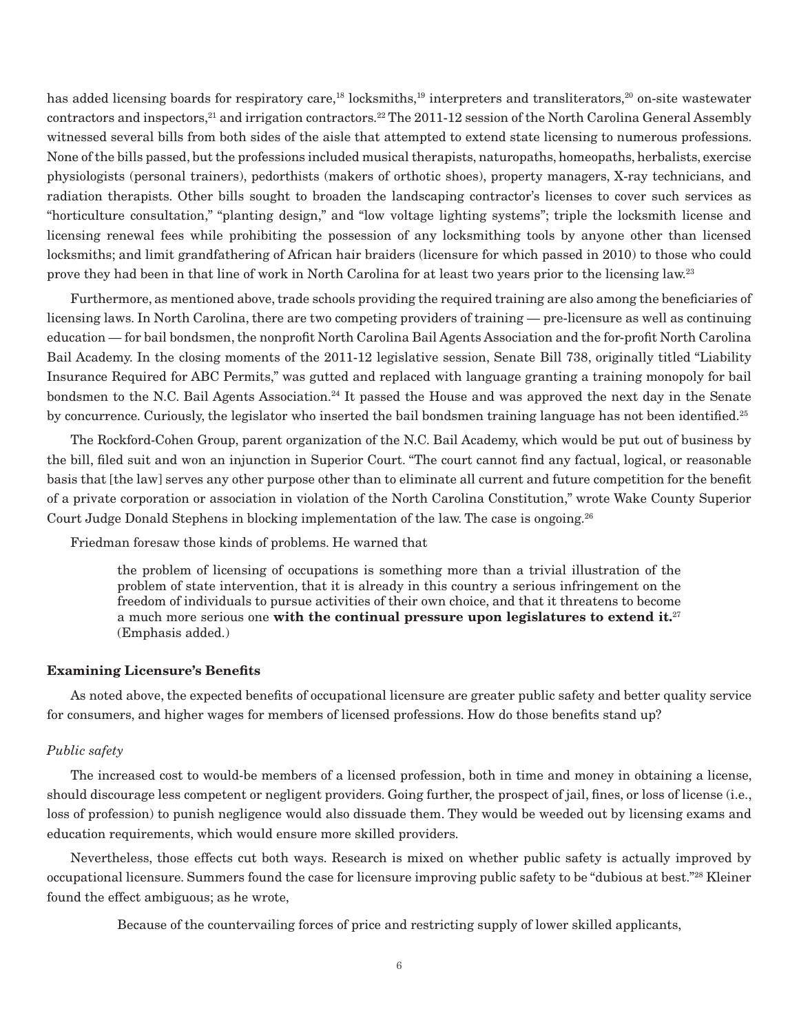has added licensing boards for respiratory care,<sup>18</sup> locksmiths,<sup>19</sup> interpreters and transliterators,<sup>20</sup> on-site wastewater contractors and inspectors,21 and irrigation contractors.22 The 2011-12 session of the North Carolina General Assembly witnessed several bills from both sides of the aisle that attempted to extend state licensing to numerous professions. None of the bills passed, but the professions included musical therapists, naturopaths, homeopaths, herbalists, exercise physiologists (personal trainers), pedorthists (makers of orthotic shoes), property managers, X-ray technicians, and radiation therapists. Other bills sought to broaden the landscaping contractor's licenses to cover such services as "horticulture consultation," "planting design," and "low voltage lighting systems"; triple the locksmith license and licensing renewal fees while prohibiting the possession of any locksmithing tools by anyone other than licensed locksmiths; and limit grandfathering of African hair braiders (licensure for which passed in 2010) to those who could prove they had been in that line of work in North Carolina for at least two years prior to the licensing law.23

Furthermore, as mentioned above, trade schools providing the required training are also among the beneficiaries of licensing laws. In North Carolina, there are two competing providers of training — pre-licensure as well as continuing education — for bail bondsmen, the nonprofit North Carolina Bail Agents Association and the for-profit North Carolina Bail Academy. In the closing moments of the 2011-12 legislative session, Senate Bill 738, originally titled "Liability Insurance Required for ABC Permits," was gutted and replaced with language granting a training monopoly for bail bondsmen to the N.C. Bail Agents Association.<sup>24</sup> It passed the House and was approved the next day in the Senate by concurrence. Curiously, the legislator who inserted the bail bondsmen training language has not been identified.<sup>25</sup>

The Rockford-Cohen Group, parent organization of the N.C. Bail Academy, which would be put out of business by the bill, filed suit and won an injunction in Superior Court. "The court cannot find any factual, logical, or reasonable basis that [the law] serves any other purpose other than to eliminate all current and future competition for the benefit of a private corporation or association in violation of the North Carolina Constitution," wrote Wake County Superior Court Judge Donald Stephens in blocking implementation of the law. The case is ongoing.<sup>26</sup>

Friedman foresaw those kinds of problems. He warned that

the problem of licensing of occupations is something more than a trivial illustration of the problem of state intervention, that it is already in this country a serious infringement on the freedom of individuals to pursue activities of their own choice, and that it threatens to become a much more serious one **with the continual pressure upon legislatures to extend it.**<sup>27</sup> (Emphasis added.)

#### **Examining Licensure's Benefits**

As noted above, the expected benefits of occupational licensure are greater public safety and better quality service for consumers, and higher wages for members of licensed professions. How do those benefits stand up?

## *Public safety*

The increased cost to would-be members of a licensed profession, both in time and money in obtaining a license, should discourage less competent or negligent providers. Going further, the prospect of jail, fines, or loss of license (i.e., loss of profession) to punish negligence would also dissuade them. They would be weeded out by licensing exams and education requirements, which would ensure more skilled providers.

Nevertheless, those effects cut both ways. Research is mixed on whether public safety is actually improved by occupational licensure. Summers found the case for licensure improving public safety to be "dubious at best."28 Kleiner found the effect ambiguous; as he wrote,

Because of the countervailing forces of price and restricting supply of lower skilled applicants,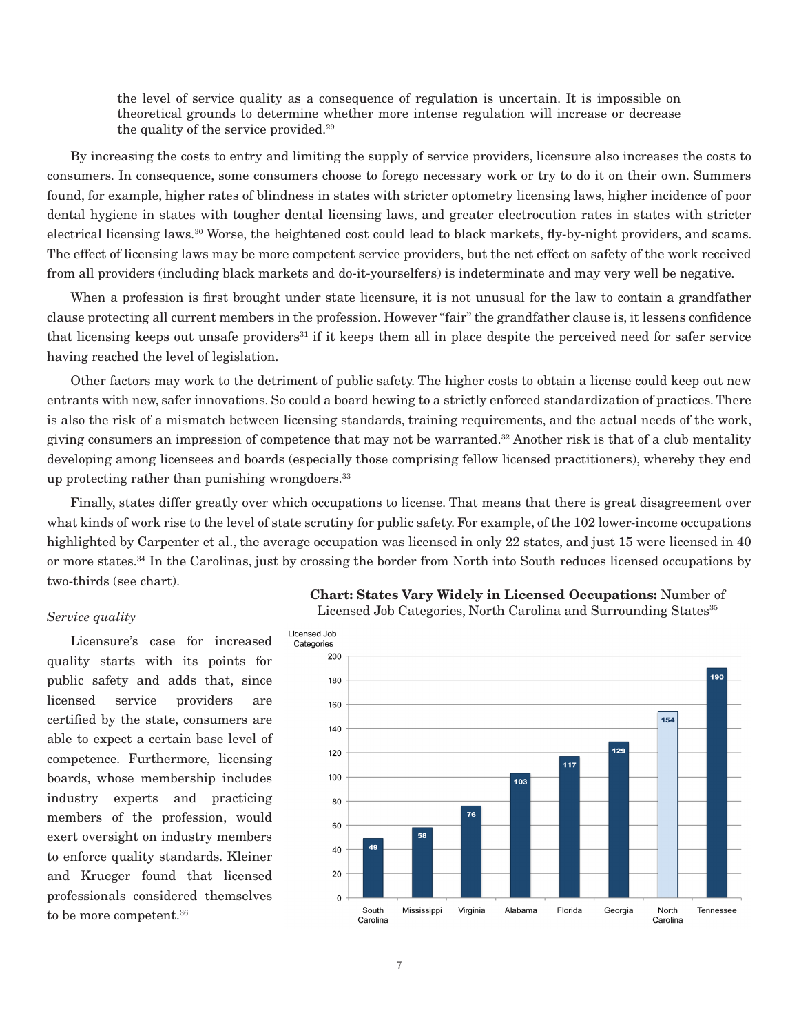the level of service quality as a consequence of regulation is uncertain. It is impossible on theoretical grounds to determine whether more intense regulation will increase or decrease the quality of the service provided.29

By increasing the costs to entry and limiting the supply of service providers, licensure also increases the costs to consumers. In consequence, some consumers choose to forego necessary work or try to do it on their own. Summers found, for example, higher rates of blindness in states with stricter optometry licensing laws, higher incidence of poor dental hygiene in states with tougher dental licensing laws, and greater electrocution rates in states with stricter electrical licensing laws.30 Worse, the heightened cost could lead to black markets, fly-by-night providers, and scams. The effect of licensing laws may be more competent service providers, but the net effect on safety of the work received from all providers (including black markets and do-it-yourselfers) is indeterminate and may very well be negative.

When a profession is first brought under state licensure, it is not unusual for the law to contain a grandfather clause protecting all current members in the profession. However "fair" the grandfather clause is, it lessens confidence that licensing keeps out unsafe providers<sup>31</sup> if it keeps them all in place despite the perceived need for safer service having reached the level of legislation.

Other factors may work to the detriment of public safety. The higher costs to obtain a license could keep out new entrants with new, safer innovations. So could a board hewing to a strictly enforced standardization of practices. There is also the risk of a mismatch between licensing standards, training requirements, and the actual needs of the work, giving consumers an impression of competence that may not be warranted.32 Another risk is that of a club mentality developing among licensees and boards (especially those comprising fellow licensed practitioners), whereby they end up protecting rather than punishing wrongdoers. $33$ 

Finally, states differ greatly over which occupations to license. That means that there is great disagreement over what kinds of work rise to the level of state scrutiny for public safety. For example, of the 102 lower-income occupations highlighted by Carpenter et al., the average occupation was licensed in only 22 states, and just 15 were licensed in 40 or more states.34 In the Carolinas, just by crossing the border from North into South reduces licensed occupations by two-thirds (see chart).

# *Service quality*

Licensure's case for increased quality starts with its points for public safety and adds that, since licensed service providers are certified by the state, consumers are able to expect a certain base level of competence. Furthermore, licensing boards, whose membership includes industry experts and practicing members of the profession, would exert oversight on industry members to enforce quality standards. Kleiner and Krueger found that licensed professionals considered themselves to be more competent.36



Licensed Job Categories, North Carolina and Surrounding States<sup>35</sup>

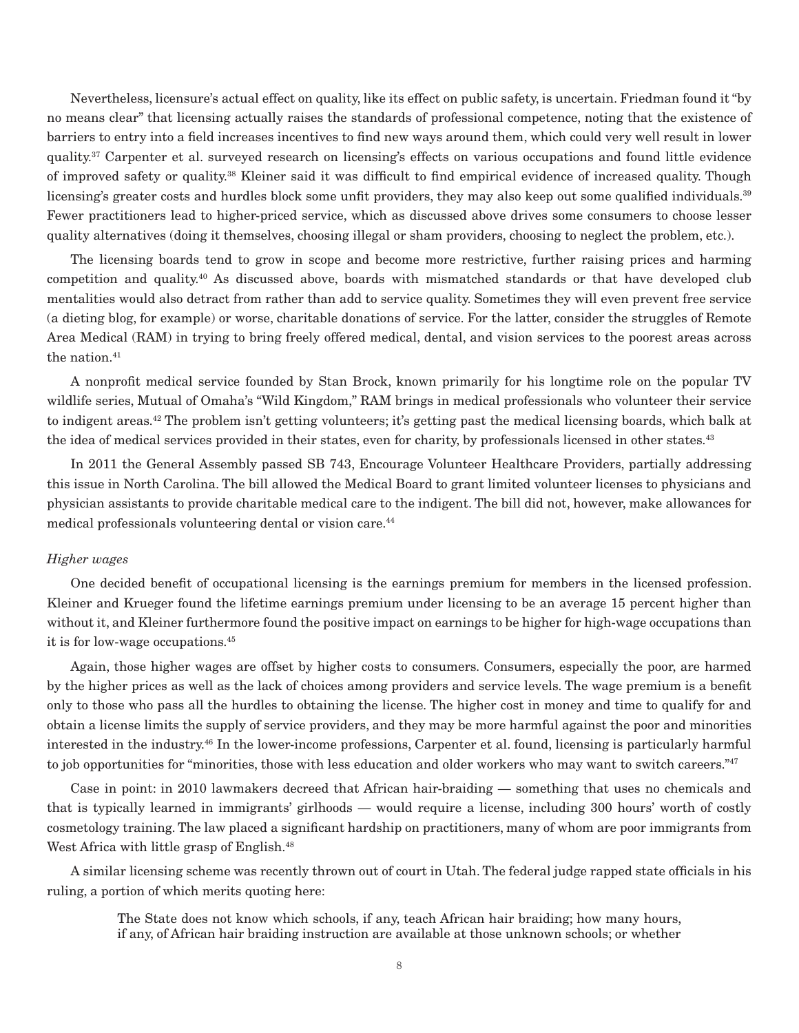Nevertheless, licensure's actual effect on quality, like its effect on public safety, is uncertain. Friedman found it "by no means clear" that licensing actually raises the standards of professional competence, noting that the existence of barriers to entry into a field increases incentives to find new ways around them, which could very well result in lower quality.37 Carpenter et al. surveyed research on licensing's effects on various occupations and found little evidence of improved safety or quality.38 Kleiner said it was difficult to find empirical evidence of increased quality. Though licensing's greater costs and hurdles block some unfit providers, they may also keep out some qualified individuals.<sup>39</sup> Fewer practitioners lead to higher-priced service, which as discussed above drives some consumers to choose lesser quality alternatives (doing it themselves, choosing illegal or sham providers, choosing to neglect the problem, etc.).

The licensing boards tend to grow in scope and become more restrictive, further raising prices and harming competition and quality.40 As discussed above, boards with mismatched standards or that have developed club mentalities would also detract from rather than add to service quality. Sometimes they will even prevent free service (a dieting blog, for example) or worse, charitable donations of service. For the latter, consider the struggles of Remote Area Medical (RAM) in trying to bring freely offered medical, dental, and vision services to the poorest areas across the nation.<sup>41</sup>

A nonprofit medical service founded by Stan Brock, known primarily for his longtime role on the popular TV wildlife series, Mutual of Omaha's "Wild Kingdom," RAM brings in medical professionals who volunteer their service to indigent areas.42 The problem isn't getting volunteers; it's getting past the medical licensing boards, which balk at the idea of medical services provided in their states, even for charity, by professionals licensed in other states.<sup>43</sup>

In 2011 the General Assembly passed SB 743, Encourage Volunteer Healthcare Providers, partially addressing this issue in North Carolina. The bill allowed the Medical Board to grant limited volunteer licenses to physicians and physician assistants to provide charitable medical care to the indigent. The bill did not, however, make allowances for medical professionals volunteering dental or vision care.<sup>44</sup>

## *Higher wages*

One decided benefit of occupational licensing is the earnings premium for members in the licensed profession. Kleiner and Krueger found the lifetime earnings premium under licensing to be an average 15 percent higher than without it, and Kleiner furthermore found the positive impact on earnings to be higher for high-wage occupations than it is for low-wage occupations.45

Again, those higher wages are offset by higher costs to consumers. Consumers, especially the poor, are harmed by the higher prices as well as the lack of choices among providers and service levels. The wage premium is a benefit only to those who pass all the hurdles to obtaining the license. The higher cost in money and time to qualify for and obtain a license limits the supply of service providers, and they may be more harmful against the poor and minorities interested in the industry.46 In the lower-income professions, Carpenter et al. found, licensing is particularly harmful to job opportunities for "minorities, those with less education and older workers who may want to switch careers."<sup>47</sup>

Case in point: in 2010 lawmakers decreed that African hair-braiding — something that uses no chemicals and that is typically learned in immigrants' girlhoods — would require a license, including 300 hours' worth of costly cosmetology training. The law placed a significant hardship on practitioners, many of whom are poor immigrants from West Africa with little grasp of English.<sup>48</sup>

A similar licensing scheme was recently thrown out of court in Utah. The federal judge rapped state officials in his ruling, a portion of which merits quoting here:

The State does not know which schools, if any, teach African hair braiding; how many hours, if any, of African hair braiding instruction are available at those unknown schools; or whether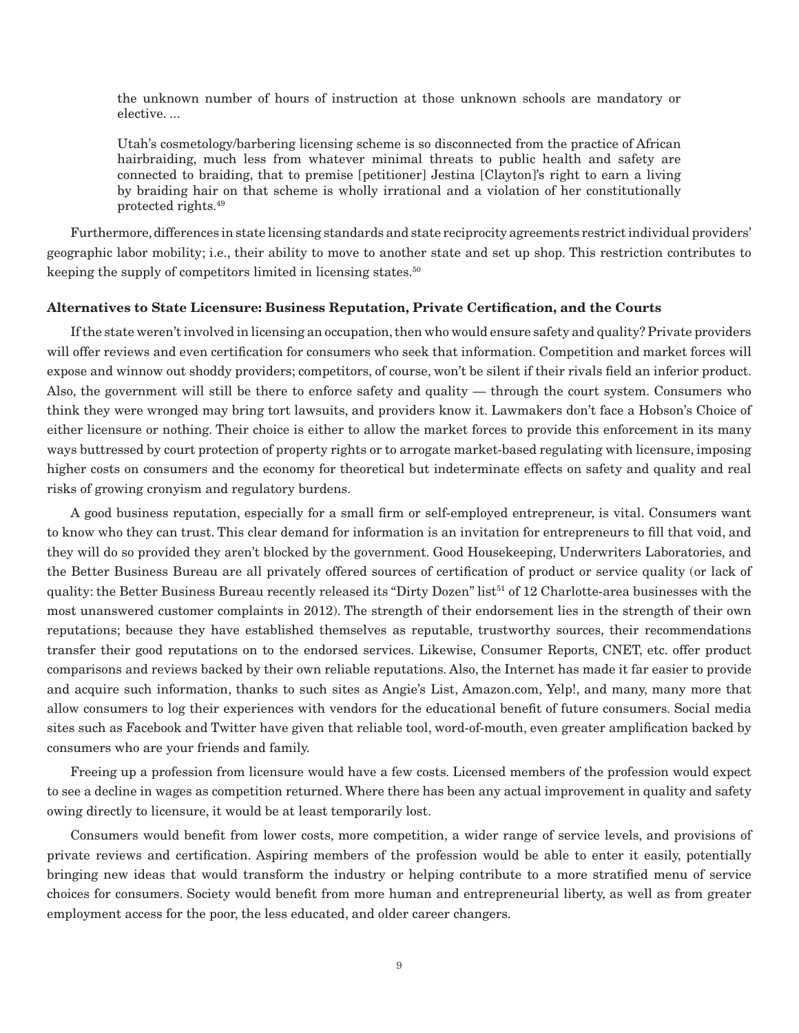the unknown number of hours of instruction at those unknown schools are mandatory or elective. ...

Utah's cosmetology/barbering licensing scheme is so disconnected from the practice of African hairbraiding, much less from whatever minimal threats to public health and safety are connected to braiding, that to premise [petitioner] Jestina [Clayton]'s right to earn a living by braiding hair on that scheme is wholly irrational and a violation of her constitutionally protected rights.49

Furthermore, differences in state licensing standards and state reciprocity agreements restrict individual providers' geographic labor mobility; i.e., their ability to move to another state and set up shop. This restriction contributes to keeping the supply of competitors limited in licensing states.<sup>50</sup>

# **Alternatives to State Licensure: Business Reputation, Private Certification, and the Courts**

If the state weren't involved in licensing an occupation, then who would ensure safety and quality? Private providers will offer reviews and even certification for consumers who seek that information. Competition and market forces will expose and winnow out shoddy providers; competitors, of course, won't be silent if their rivals field an inferior product. Also, the government will still be there to enforce safety and quality — through the court system. Consumers who think they were wronged may bring tort lawsuits, and providers know it. Lawmakers don't face a Hobson's Choice of either licensure or nothing. Their choice is either to allow the market forces to provide this enforcement in its many ways buttressed by court protection of property rights or to arrogate market-based regulating with licensure, imposing higher costs on consumers and the economy for theoretical but indeterminate effects on safety and quality and real risks of growing cronyism and regulatory burdens.

A good business reputation, especially for a small firm or self-employed entrepreneur, is vital. Consumers want to know who they can trust. This clear demand for information is an invitation for entrepreneurs to fill that void, and they will do so provided they aren't blocked by the government. Good Housekeeping, Underwriters Laboratories, and the Better Business Bureau are all privately offered sources of certification of product or service quality (or lack of quality: the Better Business Bureau recently released its "Dirty Dozen" list<sup>51</sup> of 12 Charlotte-area businesses with the most unanswered customer complaints in 2012). The strength of their endorsement lies in the strength of their own reputations; because they have established themselves as reputable, trustworthy sources, their recommendations transfer their good reputations on to the endorsed services. Likewise, Consumer Reports, CNET, etc. offer product comparisons and reviews backed by their own reliable reputations. Also, the Internet has made it far easier to provide and acquire such information, thanks to such sites as Angie's List, Amazon.com, Yelp!, and many, many more that allow consumers to log their experiences with vendors for the educational benefit of future consumers. Social media sites such as Facebook and Twitter have given that reliable tool, word-of-mouth, even greater amplification backed by consumers who are your friends and family.

Freeing up a profession from licensure would have a few costs. Licensed members of the profession would expect to see a decline in wages as competition returned. Where there has been any actual improvement in quality and safety owing directly to licensure, it would be at least temporarily lost.

Consumers would benefit from lower costs, more competition, a wider range of service levels, and provisions of private reviews and certification. Aspiring members of the profession would be able to enter it easily, potentially bringing new ideas that would transform the industry or helping contribute to a more stratified menu of service choices for consumers. Society would benefit from more human and entrepreneurial liberty, as well as from greater employment access for the poor, the less educated, and older career changers.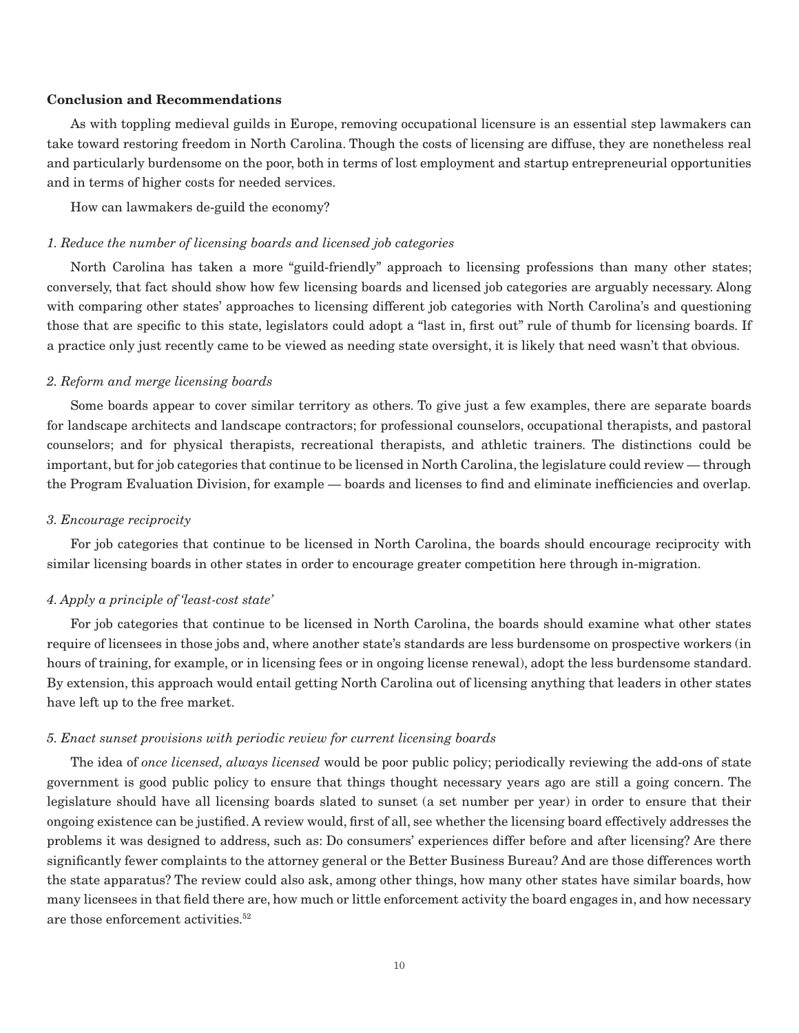# **Conclusion and Recommendations**

As with toppling medieval guilds in Europe, removing occupational licensure is an essential step lawmakers can take toward restoring freedom in North Carolina. Though the costs of licensing are diffuse, they are nonetheless real and particularly burdensome on the poor, both in terms of lost employment and startup entrepreneurial opportunities and in terms of higher costs for needed services.

How can lawmakers de-guild the economy?

# *1. Reduce the number of licensing boards and licensed job categories*

North Carolina has taken a more "guild-friendly" approach to licensing professions than many other states; conversely, that fact should show how few licensing boards and licensed job categories are arguably necessary. Along with comparing other states' approaches to licensing different job categories with North Carolina's and questioning those that are specific to this state, legislators could adopt a "last in, first out" rule of thumb for licensing boards. If a practice only just recently came to be viewed as needing state oversight, it is likely that need wasn't that obvious.

## *2. Reform and merge licensing boards*

Some boards appear to cover similar territory as others. To give just a few examples, there are separate boards for landscape architects and landscape contractors; for professional counselors, occupational therapists, and pastoral counselors; and for physical therapists, recreational therapists, and athletic trainers. The distinctions could be important, but for job categories that continue to be licensed in North Carolina, the legislature could review — through the Program Evaluation Division, for example — boards and licenses to find and eliminate inefficiencies and overlap.

#### *3. Encourage reciprocity*

For job categories that continue to be licensed in North Carolina, the boards should encourage reciprocity with similar licensing boards in other states in order to encourage greater competition here through in-migration.

# *4. Apply a principle of 'least-cost state'*

For job categories that continue to be licensed in North Carolina, the boards should examine what other states require of licensees in those jobs and, where another state's standards are less burdensome on prospective workers (in hours of training, for example, or in licensing fees or in ongoing license renewal), adopt the less burdensome standard. By extension, this approach would entail getting North Carolina out of licensing anything that leaders in other states have left up to the free market.

# *5. Enact sunset provisions with periodic review for current licensing boards*

The idea of *once licensed, always licensed* would be poor public policy; periodically reviewing the add-ons of state government is good public policy to ensure that things thought necessary years ago are still a going concern. The legislature should have all licensing boards slated to sunset (a set number per year) in order to ensure that their ongoing existence can be justified. A review would, first of all, see whether the licensing board effectively addresses the problems it was designed to address, such as: Do consumers' experiences differ before and after licensing? Are there significantly fewer complaints to the attorney general or the Better Business Bureau? And are those differences worth the state apparatus? The review could also ask, among other things, how many other states have similar boards, how many licensees in that field there are, how much or little enforcement activity the board engages in, and how necessary are those enforcement activities.<sup>52</sup>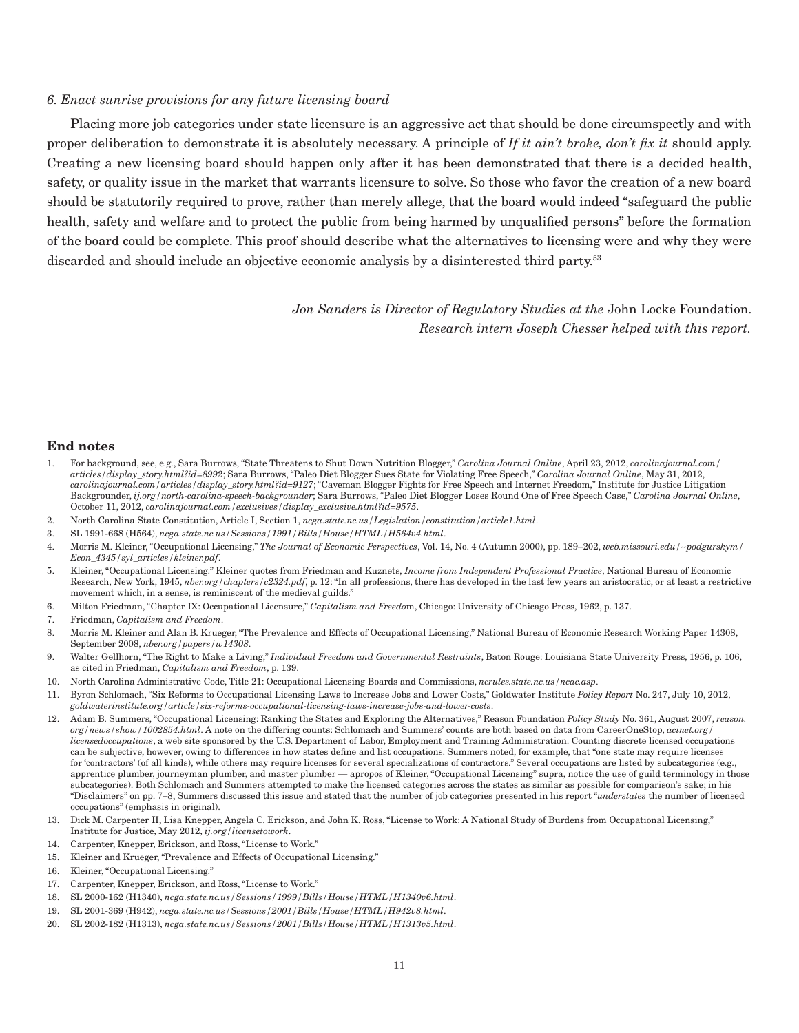## *6. Enact sunrise provisions for any future licensing board*

Placing more job categories under state licensure is an aggressive act that should be done circumspectly and with proper deliberation to demonstrate it is absolutely necessary. A principle of *If it ain't broke, don't fix it* should apply. Creating a new licensing board should happen only after it has been demonstrated that there is a decided health, safety, or quality issue in the market that warrants licensure to solve. So those who favor the creation of a new board should be statutorily required to prove, rather than merely allege, that the board would indeed "safeguard the public health, safety and welfare and to protect the public from being harmed by unqualified persons" before the formation of the board could be complete. This proof should describe what the alternatives to licensing were and why they were discarded and should include an objective economic analysis by a disinterested third party.<sup>53</sup>

> *Jon Sanders is Director of Regulatory Studies at the* John Locke Foundation. *Research intern Joseph Chesser helped with this report.*

#### **End notes**

- 1. For background, see, e.g., Sara Burrows, "State Threatens to Shut Down Nutrition Blogger," *Carolina Journal Online*, April 23, 2012, *carolinajournal.com/ articles/display\_story.html?id=8992*; Sara Burrows, "Paleo Diet Blogger Sues State for Violating Free Speech," *Carolina Journal Online*, May 31, 2012, *carolinajournal.com/articles/display\_story.html?id=9127*; "Caveman Blogger Fights for Free Speech and Internet Freedom," Institute for Justice Litigation Backgrounder, *ij.org/north-carolina-speech-backgrounder*; Sara Burrows, "Paleo Diet Blogger Loses Round One of Free Speech Case," *Carolina Journal Online*, October 11, 2012, *carolinajournal.com/exclusives/display\_exclusive.html?id=9575*.
- 2. North Carolina State Constitution, Article I, Section 1, *ncga.state.nc.us/Legislation/constitution/article1.html*.
- 3. SL 1991-668 (H564), *ncga.state.nc.us/Sessions/1991/Bills/House/HTML/H564v4.html*.
- 4. Morris M. Kleiner, "Occupational Licensing," *The Journal of Economic Perspectives*, Vol. 14, No. 4 (Autumn 2000), pp. 189–202, *web.missouri.edu/~podgurskym/ Econ\_4345/syl\_articles/kleiner.pdf*.
- 5. Kleiner, "Occupational Licensing." Kleiner quotes from Friedman and Kuznets, *Income from Independent Professional Practice*, National Bureau of Economic Research, New York, 1945, *nber.org/chapters/c2324.pdf*, p. 12: "In all professions, there has developed in the last few years an aristocratic, or at least a restrictive movement which, in a sense, is reminiscent of the medieval guilds."
- 6. Milton Friedman, "Chapter IX: Occupational Licensure," *Capitalism and Freedo*m, Chicago: University of Chicago Press, 1962, p. 137.
- 7. Friedman, *Capitalism and Freedom*.
- 8. Morris M. Kleiner and Alan B. Krueger, "The Prevalence and Effects of Occupational Licensing," National Bureau of Economic Research Working Paper 14308, September 2008, *nber.org/papers/w14308*.
- 9. Walter Gellhorn, "The Right to Make a Living," *Individual Freedom and Governmental Restraints*, Baton Rouge: Louisiana State University Press, 1956, p. 106, as cited in Friedman, *Capitalism and Freedom*, p. 139.
- 10. North Carolina Administrative Code, Title 21: Occupational Licensing Boards and Commissions, *ncrules.state.nc.us/ncac.asp*.
- 11. Byron Schlomach, "Six Reforms to Occupational Licensing Laws to Increase Jobs and Lower Costs," Goldwater Institute *Policy Report* No. 247, July 10, 2012, *goldwaterinstitute.org/article/six-reforms-occupational-licensing-laws-increase-jobs-and-lower-costs*.
- 12. Adam B. Summers, "Occupational Licensing: Ranking the States and Exploring the Alternatives," Reason Foundation *Policy Study* No. 361, August 2007, *reason. org/news/show/1002854.html*. A note on the differing counts: Schlomach and Summers' counts are both based on data from CareerOneStop, *acinet.org/ licensedoccupations*, a web site sponsored by the U.S. Department of Labor, Employment and Training Administration. Counting discrete licensed occupations can be subjective, however, owing to differences in how states define and list occupations. Summers noted, for example, that "one state may require licenses for 'contractors' (of all kinds), while others may require licenses for several specializations of contractors." Several occupations are listed by subcategories (e.g., apprentice plumber, journeyman plumber, and master plumber — apropos of Kleiner, "Occupational Licensing" supra, notice the use of guild terminology in those subcategories). Both Schlomach and Summers attempted to make the licensed categories across the states as similar as possible for comparison's sake; in his "Disclaimers" on pp. 7–8, Summers discussed this issue and stated that the number of job categories presented in his report "*understates* the number of licensed occupations" (emphasis in original).
- 13. Dick M. Carpenter II, Lisa Knepper, Angela C. Erickson, and John K. Ross, "License to Work: A National Study of Burdens from Occupational Licensing," Institute for Justice, May 2012, *ij.org/licensetowork*.
- 14. Carpenter, Knepper, Erickson, and Ross, "License to Work."
- 15. Kleiner and Krueger, "Prevalence and Effects of Occupational Licensing."
- 16. Kleiner, "Occupational Licensing."
- 17. Carpenter, Knepper, Erickson, and Ross, "License to Work."
- 18. SL 2000-162 (H1340), *ncga.state.nc.us/Sessions/1999/Bills/House/HTML/H1340v6.html*.
- 19. SL 2001-369 (H942), *ncga.state.nc.us/Sessions/2001/Bills/House/HTML/H942v8.html*.
- 20. SL 2002-182 (H1313), *ncga.state.nc.us/Sessions/2001/Bills/House/HTML/H1313v5.html*.